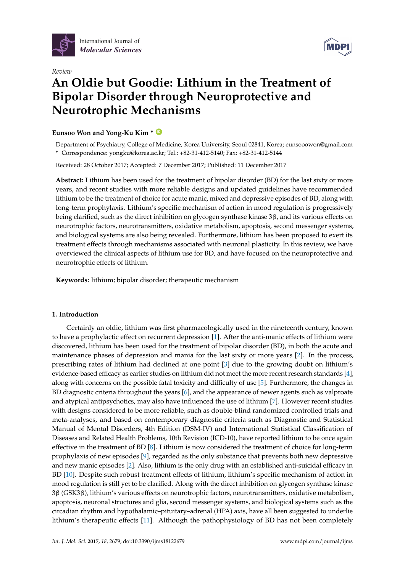

*Review*



# **An Oldie but Goodie: Lithium in the Treatment of Bipolar Disorder through Neuroprotective and Neurotrophic Mechanisms**

# **Eunsoo Won and Yong-Ku Kim \* [ID](https://orcid.org/0000-0001-5694-7840)**

Department of Psychiatry, College of Medicine, Korea University, Seoul 02841, Korea; eunsooowon@gmail.com **\*** Correspondence: yongku@korea.ac.kr; Tel.: +82-31-412-5140; Fax: +82-31-412-5144

Received: 28 October 2017; Accepted: 7 December 2017; Published: 11 December 2017

**Abstract:** Lithium has been used for the treatment of bipolar disorder (BD) for the last sixty or more years, and recent studies with more reliable designs and updated guidelines have recommended lithium to be the treatment of choice for acute manic, mixed and depressive episodes of BD, along with long-term prophylaxis. Lithium's specific mechanism of action in mood regulation is progressively being clarified, such as the direct inhibition on glycogen synthase kinase 3β, and its various effects on neurotrophic factors, neurotransmitters, oxidative metabolism, apoptosis, second messenger systems, and biological systems are also being revealed. Furthermore, lithium has been proposed to exert its treatment effects through mechanisms associated with neuronal plasticity. In this review, we have overviewed the clinical aspects of lithium use for BD, and have focused on the neuroprotective and neurotrophic effects of lithium.

**Keywords:** lithium; bipolar disorder; therapeutic mechanism

# **1. Introduction**

Certainly an oldie, lithium was first pharmacologically used in the nineteenth century, known to have a prophylactic effect on recurrent depression [\[1\]](#page-8-0). After the anti-manic effects of lithium were discovered, lithium has been used for the treatment of bipolar disorder (BD), in both the acute and maintenance phases of depression and mania for the last sixty or more years [\[2\]](#page-8-1). In the process, prescribing rates of lithium had declined at one point [\[3\]](#page-8-2) due to the growing doubt on lithium's evidence-based efficacy as earlier studies on lithium did not meet the more recent research standards [\[4\]](#page-8-3), along with concerns on the possible fatal toxicity and difficulty of use [\[5\]](#page-8-4). Furthermore, the changes in BD diagnostic criteria throughout the years [\[6\]](#page-8-5), and the appearance of newer agents such as valproate and atypical antipsychotics, may also have influenced the use of lithium [\[7\]](#page-8-6). However recent studies with designs considered to be more reliable, such as double-blind randomized controlled trials and meta-analyses, and based on contemporary diagnostic criteria such as Diagnostic and Statistical Manual of Mental Disorders, 4th Edition (DSM-IV) and International Statistical Classification of Diseases and Related Health Problems, 10th Revision (ICD-10), have reported lithium to be once again effective in the treatment of BD [\[8\]](#page-8-7). Lithium is now considered the treatment of choice for long-term prophylaxis of new episodes [\[9\]](#page-8-8), regarded as the only substance that prevents both new depressive and new manic episodes [\[2\]](#page-8-1). Also, lithium is the only drug with an established anti-suicidal efficacy in BD [\[10\]](#page-8-9). Despite such robust treatment effects of lithium, lithium's specific mechanism of action in mood regulation is still yet to be clarified. Along with the direct inhibition on glycogen synthase kinase 3β (GSK3β), lithium's various effects on neurotrophic factors, neurotransmitters, oxidative metabolism, apoptosis, neuronal structures and glia, second messenger systems, and biological systems such as the circadian rhythm and hypothalamic–pituitary–adrenal (HPA) axis, have all been suggested to underlie lithium's therapeutic effects [\[11\]](#page-8-10). Although the pathophysiology of BD has not been completely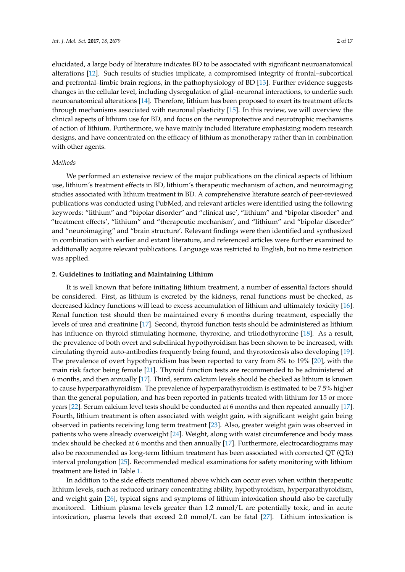elucidated, a large body of literature indicates BD to be associated with significant neuroanatomical alterations [\[12\]](#page-8-11). Such results of studies implicate, a compromised integrity of frontal–subcortical and prefrontal–limbic brain regions, in the pathophysiology of BD [\[13\]](#page-8-12). Further evidence suggests changes in the cellular level, including dysregulation of glial–neuronal interactions, to underlie such neuroanatomical alterations [\[14\]](#page-8-13). Therefore, lithium has been proposed to exert its treatment effects through mechanisms associated with neuronal plasticity [\[15\]](#page-8-14). In this review, we will overview the clinical aspects of lithium use for BD, and focus on the neuroprotective and neurotrophic mechanisms of action of lithium. Furthermore, we have mainly included literature emphasizing modern research designs, and have concentrated on the efficacy of lithium as monotherapy rather than in combination with other agents.

## *Methods*

We performed an extensive review of the major publications on the clinical aspects of lithium use, lithium's treatment effects in BD, lithium's therapeutic mechanism of action, and neuroimaging studies associated with lithium treatment in BD. A comprehensive literature search of peer-reviewed publications was conducted using PubMed, and relevant articles were identified using the following keywords: "lithium" and "bipolar disorder" and "clinical use', "lithium" and "bipolar disorder" and "treatment effects', "lithium" and "therapeutic mechanism', and "lithium" and "bipolar disorder" and "neuroimaging" and "brain structure'. Relevant findings were then identified and synthesized in combination with earlier and extant literature, and referenced articles were further examined to additionally acquire relevant publications. Language was restricted to English, but no time restriction was applied.

### **2. Guidelines to Initiating and Maintaining Lithium**

It is well known that before initiating lithium treatment, a number of essential factors should be considered. First, as lithium is excreted by the kidneys, renal functions must be checked, as decreased kidney functions will lead to excess accumulation of lithium and ultimately toxicity [\[16\]](#page-8-15). Renal function test should then be maintained every 6 months during treatment, especially the levels of urea and creatinine [\[17\]](#page-8-16). Second, thyroid function tests should be administered as lithium has influence on thyroid stimulating hormone, thyroxine, and triiodothyronine [\[18\]](#page-8-17). As a result, the prevalence of both overt and subclinical hypothyroidism has been shown to be increased, with circulating thyroid auto-antibodies frequently being found, and thyrotoxicosis also developing [\[19\]](#page-8-18). The prevalence of overt hypothyroidism has been reported to vary from 8% to 19% [\[20\]](#page-8-19), with the main risk factor being female [\[21\]](#page-8-20). Thyroid function tests are recommended to be administered at 6 months, and then annually [\[17\]](#page-8-16). Third, serum calcium levels should be checked as lithium is known to cause hyperparathyroidism. The prevalence of hyperparathyroidism is estimated to be 7.5% higher than the general population, and has been reported in patients treated with lithium for 15 or more years [\[22\]](#page-8-21). Serum calcium level tests should be conducted at 6 months and then repeated annually [\[17\]](#page-8-16). Fourth, lithium treatment is often associated with weight gain, with significant weight gain being observed in patients receiving long term treatment [\[23\]](#page-8-22). Also, greater weight gain was observed in patients who were already overweight [\[24\]](#page-8-23). Weight, along with waist circumference and body mass index should be checked at 6 months and then annually [\[17\]](#page-8-16). Furthermore, electrocardiograms may also be recommended as long-term lithium treatment has been associated with corrected QT (QTc) interval prolongation [\[25\]](#page-9-0). Recommended medical examinations for safety monitoring with lithium treatment are listed in Table [1.](#page-2-0)

In addition to the side effects mentioned above which can occur even when within therapeutic lithium levels, such as reduced urinary concentrating ability, hypothyroidism, hyperparathyroidism, and weight gain [\[26\]](#page-9-1), typical signs and symptoms of lithium intoxication should also be carefully monitored. Lithium plasma levels greater than 1.2 mmol/L are potentially toxic, and in acute intoxication, plasma levels that exceed 2.0 mmol/L can be fatal [\[27\]](#page-9-2). Lithium intoxication is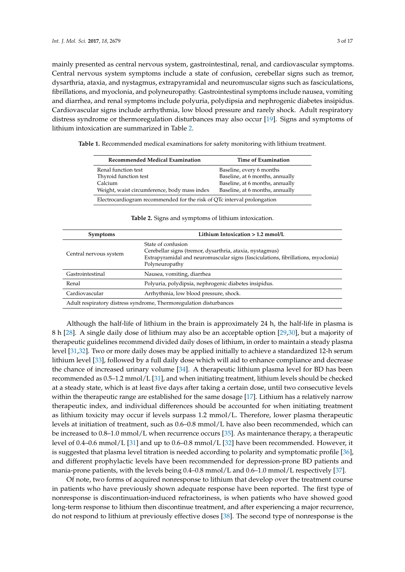mainly presented as central nervous system, gastrointestinal, renal, and cardiovascular symptoms. Central nervous system symptoms include a state of confusion, cerebellar signs such as tremor, dysarthria, ataxia, and nystagmus, extrapyramidal and neuromuscular signs such as fasciculations, fibrillations, and myoclonia, and polyneuropathy. Gastrointestinal symptoms include nausea, vomiting and diarrhea, and renal symptoms include polyuria, polydipsia and nephrogenic diabetes insipidus. Cardiovascular signs include arrhythmia, low blood pressure and rarely shock. Adult respiratory distress syndrome or thermoregulation disturbances may also occur [\[19\]](#page-8-18). Signs and symptoms of lithium intoxication are summarized in Table [2.](#page-2-1)

<span id="page-2-0"></span>**Table 1.** Recommended medical examinations for safety monitoring with lithium treatment.

| Recommended Medical Examination                                         | <b>Time of Examination</b>      |
|-------------------------------------------------------------------------|---------------------------------|
| Renal function test                                                     | Baseline, every 6 months        |
| Thyroid function test                                                   | Baseline, at 6 months, annually |
| Calcium                                                                 | Baseline, at 6 months, annually |
| Weight, waist circumference, body mass index                            | Baseline, at 6 months, annually |
| Electrocardiogram recommended for the risk of QTc interval prolongation |                                 |

<span id="page-2-1"></span>

| <b>Symptoms</b>                                                    | Lithium Intoxication $> 1.2$ mmol/L                                                                                                                                                   |
|--------------------------------------------------------------------|---------------------------------------------------------------------------------------------------------------------------------------------------------------------------------------|
| Central nervous system                                             | State of confusion<br>Cerebellar signs (tremor, dysarthria, ataxia, nystagmus)<br>Extrapyramidal and neuromuscular signs (fasciculations, fibrillations, myoclonia)<br>Polyneuropathy |
| Gastrointestinal                                                   | Nausea, vomiting, diarrhea                                                                                                                                                            |
| Renal                                                              | Polyuria, polydipsia, nephrogenic diabetes insipidus.                                                                                                                                 |
| Cardiovascular                                                     | Arrhythmia, low blood pressure, shock.                                                                                                                                                |
| Adult respiratory distress syndrome, Thermoregulation disturbances |                                                                                                                                                                                       |

**Table 2.** Signs and symptoms of lithium intoxication.

Although the half-life of lithium in the brain is approximately 24 h, the half-life in plasma is 8 h [\[28\]](#page-9-3). A single daily dose of lithium may also be an acceptable option [\[29](#page-9-4)[,30\]](#page-9-5), but a majority of therapeutic guidelines recommend divided daily doses of lithium, in order to maintain a steady plasma level [\[31](#page-9-6)[,32\]](#page-9-7). Two or more daily doses may be applied initially to achieve a standardized 12-h serum lithium level [\[33\]](#page-9-8), followed by a full daily dose which will aid to enhance compliance and decrease the chance of increased urinary volume [\[34\]](#page-9-9). A therapeutic lithium plasma level for BD has been recommended as 0.5–1.2 mmol/L [\[31\]](#page-9-6), and when initiating treatment, lithium levels should be checked at a steady state, which is at least five days after taking a certain dose, until two consecutive levels within the therapeutic range are established for the same dosage [\[17\]](#page-8-16). Lithium has a relatively narrow therapeutic index, and individual differences should be accounted for when initiating treatment as lithium toxicity may occur if levels surpass 1.2 mmol/L. Therefore, lower plasma therapeutic levels at initiation of treatment, such as 0.6–0.8 mmol/L have also been recommended, which can be increased to 0.8–1.0 mmol/L when recurrence occurs [\[35\]](#page-9-10). As maintenance therapy, a therapeutic level of 0.4–0.6 mmol/L [\[31\]](#page-9-6) and up to 0.6–0.8 mmol/L [\[32\]](#page-9-7) have been recommended. However, it is suggested that plasma level titration is needed according to polarity and symptomatic profile [\[36\]](#page-9-11), and different prophylactic levels have been recommended for depression-prone BD patients and mania-prone patients, with the levels being 0.4–0.8 mmol/L and 0.6–1.0 mmol/L respectively [\[37\]](#page-9-12).

Of note, two forms of acquired nonresponse to lithium that develop over the treatment course in patients who have previously shown adequate response have been reported. The first type of nonresponse is discontinuation-induced refractoriness, is when patients who have showed good long-term response to lithium then discontinue treatment, and after experiencing a major recurrence, do not respond to lithium at previously effective doses [\[38\]](#page-9-13). The second type of nonresponse is the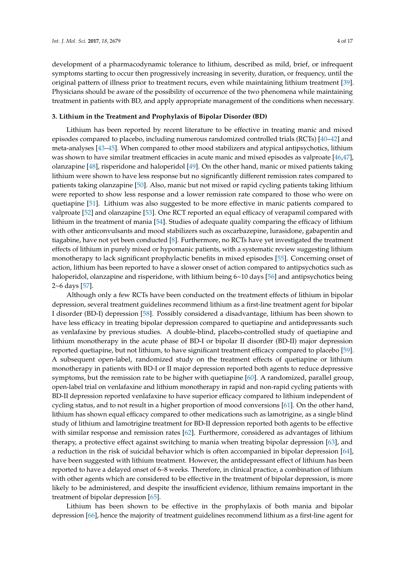development of a pharmacodynamic tolerance to lithium, described as mild, brief, or infrequent symptoms starting to occur then progressively increasing in severity, duration, or frequency, until the original pattern of illness prior to treatment recurs, even while maintaining lithium treatment [\[39\]](#page-9-14). Physicians should be aware of the possibility of occurrence of the two phenomena while maintaining treatment in patients with BD, and apply appropriate management of the conditions when necessary.

#### **3. Lithium in the Treatment and Prophylaxis of Bipolar Disorder (BD)**

Lithium has been reported by recent literature to be effective in treating manic and mixed episodes compared to placebo, including numerous randomized controlled trials (RCTs) [\[40](#page-9-15)[–42\]](#page-9-16) and meta-analyses [\[43–](#page-9-17)[45\]](#page-10-0). When compared to other mood stabilizers and atypical antipsychotics, lithium was shown to have similar treatment efficacies in acute manic and mixed episodes as valproate [\[46](#page-10-1)[,47\]](#page-10-2), olanzapine [\[48\]](#page-10-3), risperidone and haloperidol [\[49\]](#page-10-4). On the other hand, manic or mixed patients taking lithium were shown to have less response but no significantly different remission rates compared to patients taking olanzapine [\[50\]](#page-10-5). Also, manic but not mixed or rapid cycling patients taking lithium were reported to show less response and a lower remission rate compared to those who were on quetiapine [\[51\]](#page-10-6). Lithium was also suggested to be more effective in manic patients compared to valproate [\[52\]](#page-10-7) and olanzapine [\[53\]](#page-10-8). One RCT reported an equal efficacy of verapamil compared with lithium in the treatment of mania [\[54\]](#page-10-9). Studies of adequate quality comparing the efficacy of lithium with other anticonvulsants and mood stabilizers such as oxcarbazepine, lurasidone, gabapentin and tiagabine, have not yet been conducted [\[8\]](#page-8-7). Furthermore, no RCTs have yet investigated the treatment effects of lithium in purely mixed or hypomanic patients, with a systematic review suggesting lithium monotherapy to lack significant prophylactic benefits in mixed episodes [\[55\]](#page-10-10). Concerning onset of action, lithium has been reported to have a slower onset of action compared to antipsychotics such as haloperidol, olanzapine and risperidone, with lithium being 6~10 days [\[56\]](#page-10-11) and antipsychotics being 2~6 days [\[57\]](#page-10-12).

Although only a few RCTs have been conducted on the treatment effects of lithium in bipolar depression, several treatment guidelines recommend lithium as a first-line treatment agent for bipolar I disorder (BD-I) depression [\[58\]](#page-10-13). Possibly considered a disadvantage, lithium has been shown to have less efficacy in treating bipolar depression compared to quetiapine and antidepressants such as venlafaxine by previous studies. A double-blind, placebo-controlled study of quetiapine and lithium monotherapy in the acute phase of BD-I or bipolar II disorder (BD-II) major depression reported quetiapine, but not lithium, to have significant treatment efficacy compared to placebo [\[59\]](#page-10-14). A subsequent open-label, randomized study on the treatment effects of quetiapine or lithium monotherapy in patients with BD-I or II major depression reported both agents to reduce depressive symptoms, but the remission rate to be higher with quetiapine [\[60\]](#page-10-15). A randomized, parallel group, open-label trial on venlafaxine and lithium monotherapy in rapid and non-rapid cycling patients with BD-II depression reported venlafaxine to have superior efficacy compared to lithium independent of cycling status, and to not result in a higher proportion of mood conversions [\[61\]](#page-10-16). On the other hand, lithium has shown equal efficacy compared to other medications such as lamotrigine, as a single blind study of lithium and lamotrigine treatment for BD-II depression reported both agents to be effective with similar response and remission rates [\[62\]](#page-10-17). Furthermore, considered as advantages of lithium therapy, a protective effect against switching to mania when treating bipolar depression [\[63\]](#page-10-18), and a reduction in the risk of suicidal behavior which is often accompanied in bipolar depression [\[64\]](#page-10-19), have been suggested with lithium treatment. However, the antidepressant effect of lithium has been reported to have a delayed onset of 6–8 weeks. Therefore, in clinical practice, a combination of lithium with other agents which are considered to be effective in the treatment of bipolar depression, is more likely to be administered, and despite the insufficient evidence, lithium remains important in the treatment of bipolar depression [\[65\]](#page-11-0).

Lithium has been shown to be effective in the prophylaxis of both mania and bipolar depression [\[66\]](#page-11-1), hence the majority of treatment guidelines recommend lithium as a first-line agent for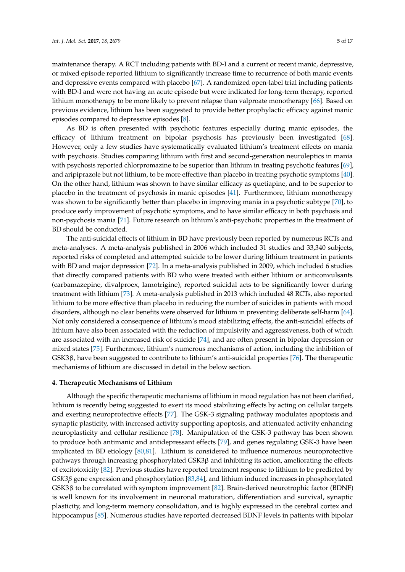maintenance therapy. A RCT including patients with BD-I and a current or recent manic, depressive, or mixed episode reported lithium to significantly increase time to recurrence of both manic events and depressive events compared with placebo [\[67\]](#page-11-2). A randomized open-label trial including patients with BD-I and were not having an acute episode but were indicated for long-term therapy, reported lithium monotherapy to be more likely to prevent relapse than valproate monotherapy [\[66\]](#page-11-1). Based on previous evidence, lithium has been suggested to provide better prophylactic efficacy against manic episodes compared to depressive episodes [\[8\]](#page-8-7).

As BD is often presented with psychotic features especially during manic episodes, the efficacy of lithium treatment on bipolar psychosis has previously been investigated [\[68\]](#page-11-3). However, only a few studies have systematically evaluated lithium's treatment effects on mania with psychosis. Studies comparing lithium with first and second-generation neuroleptics in mania with psychosis reported chlorpromazine to be superior than lithium in treating psychotic features [\[69\]](#page-11-4), and aripiprazole but not lithium, to be more effective than placebo in treating psychotic symptoms [\[40\]](#page-9-15). On the other hand, lithium was shown to have similar efficacy as quetiapine, and to be superior to placebo in the treatment of psychosis in manic episodes [\[41\]](#page-9-18). Furthermore, lithium monotherapy was shown to be significantly better than placebo in improving mania in a psychotic subtype [\[70\]](#page-11-5), to produce early improvement of psychotic symptoms, and to have similar efficacy in both psychosis and non-psychosis mania [\[71\]](#page-11-6). Future research on lithium's anti-psychotic properties in the treatment of BD should be conducted.

The anti-suicidal effects of lithium in BD have previously been reported by numerous RCTs and meta-analyses. A meta-analysis published in 2006 which included 31 studies and 33,340 subjects, reported risks of completed and attempted suicide to be lower during lithium treatment in patients with BD and major depression [\[72\]](#page-11-7). In a meta-analysis published in 2009, which included 6 studies that directly compared patients with BD who were treated with either lithium or anticonvulsants (carbamazepine, divalproex, lamotrigine), reported suicidal acts to be significantly lower during treatment with lithium [\[73\]](#page-11-8). A meta-analysis published in 2013 which included 48 RCTs, also reported lithium to be more effective than placebo in reducing the number of suicides in patients with mood disorders, although no clear benefits were observed for lithium in preventing deliberate self-harm [\[64\]](#page-10-19). Not only considered a consequence of lithium's mood stabilizing effects, the anti-suicidal effects of lithium have also been associated with the reduction of impulsivity and aggressiveness, both of which are associated with an increased risk of suicide [\[74\]](#page-11-9), and are often present in bipolar depression or mixed states [\[75\]](#page-11-10). Furthermore, lithium's numerous mechanisms of action, including the inhibition of GSK3β, have been suggested to contribute to lithium's anti-suicidal properties [\[76\]](#page-11-11). The therapeutic mechanisms of lithium are discussed in detail in the below section.

## **4. Therapeutic Mechanisms of Lithium**

Although the specific therapeutic mechanisms of lithium in mood regulation has not been clarified, lithium is recently being suggested to exert its mood stabilizing effects by acting on cellular targets and exerting neuroprotective effects [\[77\]](#page-11-12). The GSK-3 signaling pathway modulates apoptosis and synaptic plasticity, with increased activity supporting apoptosis, and attenuated activity enhancing neuroplasticity and cellular resilience [\[78\]](#page-11-13). Manipulation of the GSK-3 pathway has been shown to produce both antimanic and antidepressant effects [\[79\]](#page-11-14), and genes regulating GSK-3 have been implicated in BD etiology [\[80](#page-11-15)[,81\]](#page-11-16). Lithium is considered to influence numerous neuroprotective pathways through increasing phosphorylated  $GSK3\beta$  and inhibiting its action, ameliorating the effects of excitotoxicity [\[82\]](#page-11-17). Previous studies have reported treatment response to lithium to be predicted by *GSK3β* gene expression and phosphorylation [\[83,](#page-12-0)[84\]](#page-12-1), and lithium induced increases in phosphorylated GSK3β to be correlated with symptom improvement [\[82\]](#page-11-17). Brain-derived neurotrophic factor (BDNF) is well known for its involvement in neuronal maturation, differentiation and survival, synaptic plasticity, and long-term memory consolidation, and is highly expressed in the cerebral cortex and hippocampus [\[85\]](#page-12-2). Numerous studies have reported decreased BDNF levels in patients with bipolar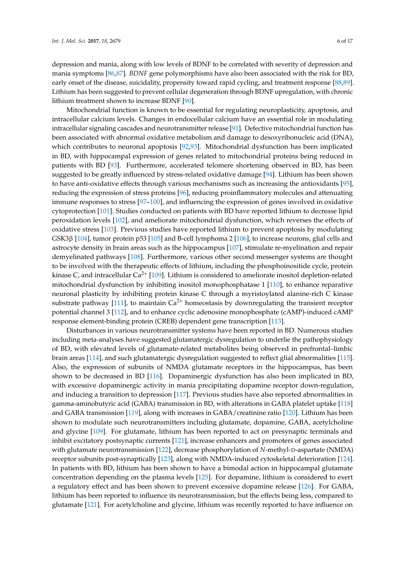depression and mania, along with low levels of BDNF to be correlated with severity of depression and mania symptoms [\[86,](#page-12-3)[87\]](#page-12-4). *BDNF* gene polymorphisms have also been associated with the risk for BD, early onset of the disease, suicidality, propensity toward rapid cycling, and treatment response [\[88](#page-12-5)[,89\]](#page-12-6). Lithium has been suggested to prevent cellular degeneration through BDNF upregulation, with chronic lithium treatment shown to increase BDNF [\[90\]](#page-12-7).

Mitochondrial function is known to be essential for regulating neuroplasticity, apoptosis, and intracellular calcium levels. Changes in endocellular calcium have an essential role in modulating intracellular signaling cascades and neurotransmitter release [\[91\]](#page-12-8). Defective mitochondrial function has been associated with abnormal oxidative metabolism and damage to desoxyribonucleic acid (DNA), which contributes to neuronal apoptosis [\[92](#page-12-9)[,93\]](#page-12-10). Mitochondrial dysfunction has been implicated in BD, with hippocampal expression of genes related to mitochondrial proteins being reduced in patients with BD [\[93\]](#page-12-10). Furthermore, accelerated telomere shortening observed in BD, has been suggested to be greatly influenced by stress-related oxidative damage [\[94\]](#page-12-11). Lithium has been shown to have anti-oxidative effects through various mechanisms such as increasing the antioxidants [\[95\]](#page-12-12), reducing the expression of stress proteins [\[96\]](#page-12-13), reducing proinflammatory molecules and attenuating immune responses to stress [\[97](#page-12-14)[–100\]](#page-12-15), and influencing the expression of genes involved in oxidative cytoprotection [\[101\]](#page-13-0). Studies conducted on patients with BD have reported lithium to decrease lipid peroxidation levels [\[102\]](#page-13-1), and ameliorate mitochondrial dysfunction, which reverses the effects of oxidative stress [\[103\]](#page-13-2). Previous studies have reported lithium to prevent apoptosis by modulating GSK3β [\[104\]](#page-13-3), tumor protein p53 [\[105\]](#page-13-4) and B-cell lymphoma 2 [\[106\]](#page-13-5), to increase neurons, glial cells and astrocyte density in brain areas such as the hippocampus [\[107\]](#page-13-6), stimulate re-myelination and repair demyelinated pathways [\[108\]](#page-13-7). Furthermore, various other second messenger systems are thought to be involved with the therapeutic effects of lithium, including the phosphoinositide cycle, protein kinase C, and intracellular  $Ca^{2+}$  [\[109\]](#page-13-8). Lithium is considered to ameliorate inositol depletion-related mitochondrial dysfunction by inhibiting inositol monophosphatase 1 [\[110\]](#page-13-9), to enhance reparative neuronal plasticity by inhibiting protein kinase C through a myristoylated alanine-rich C kinase substrate pathway [\[111\]](#page-13-10), to maintain  $Ca^{2+}$  homeostasis by downregulating the transient receptor potential channel 3 [\[112\]](#page-13-11), and to enhance cyclic adenosine monophosphate (cAMP)-induced cAMP response element-binding protein (CREB) dependent gene transcription [\[113\]](#page-13-12).

Disturbances in various neurotransmitter systems have been reported in BD. Numerous studies including meta-analyses have suggested glutamatergic dysregulation to underlie the pathophysiology of BD, with elevated levels of glutamate-related metabolites being observed in prefrontal–limbic brain areas [\[114\]](#page-13-13), and such glutamatergic dysregulation suggested to reflect glial abnormalities [\[115\]](#page-13-14). Also, the expression of subunits of NMDA glutamate receptors in the hippocampus, has been shown to be decreased in BD [\[116\]](#page-13-15). Dopaminergic dysfunction has also been implicated in BD, with excessive dopaminergic activity in mania precipitating dopamine receptor down-regulation, and inducing a transition to depression [\[117\]](#page-13-16). Previous studies have also reported abnormalities in gamma-aminobutyric acid (GABA) transmission in BD, with alterations in GABA platelet uptake [\[118\]](#page-13-17) and GABA transmission [\[119\]](#page-14-0), along with increases in GABA/creatinine ratio [\[120\]](#page-14-1). Lithium has been shown to modulate such neurotransmitters including glutamate, dopamine, GABA, acetylcholine and glycine [\[109\]](#page-13-8). For glutamate, lithium has been reported to act on presynaptic terminals and inhibit excitatory postsynaptic currents [\[121\]](#page-14-2), increase enhancers and promoters of genes associated with glutamate neurotransmission [\[122\]](#page-14-3), decrease phosphorylation of *N*-methyl-D-aspartate (NMDA) receptor subunits post-synaptically [\[123\]](#page-14-4), along with NMDA-induced cytoskeletal deterioration [\[124\]](#page-14-5). In patients with BD, lithium has been shown to have a bimodal action in hippocampal glutamate concentration depending on the plasma levels [\[125\]](#page-14-6). For dopamine, lithium is considered to exert a regulatory effect and has been shown to prevent excessive dopamine release [\[126\]](#page-14-7). For GABA, lithium has been reported to influence its neurotransmission, but the effects being less, compared to glutamate [\[121\]](#page-14-2). For acetylcholine and glycine, lithium was recently reported to have influence on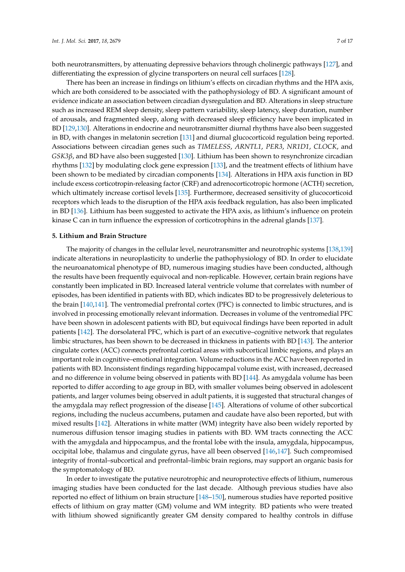both neurotransmitters, by attenuating depressive behaviors through cholinergic pathways [\[127\]](#page-14-8), and differentiating the expression of glycine transporters on neural cell surfaces [\[128\]](#page-14-9).

There has been an increase in findings on lithium's effects on circadian rhythms and the HPA axis, which are both considered to be associated with the pathophysiology of BD. A significant amount of evidence indicate an association between circadian dysregulation and BD. Alterations in sleep structure such as increased REM sleep density, sleep pattern variability, sleep latency, sleep duration, number of arousals, and fragmented sleep, along with decreased sleep efficiency have been implicated in BD [\[129](#page-14-10)[,130\]](#page-14-11). Alterations in endocrine and neurotransmitter diurnal rhythms have also been suggested in BD, with changes in melatonin secretion [\[131\]](#page-14-12) and diurnal glucocorticoid regulation being reported. Associations between circadian genes such as *TIMELESS*, *ARNTL1*, *PER3*, *NR1D1*, *CLOCK*, and *GSK3β*, and BD have also been suggested [\[130\]](#page-14-11). Lithium has been shown to resynchronize circadian rhythms [\[132\]](#page-14-13) by modulating clock gene expression [\[133\]](#page-14-14), and the treatment effects of lithium have been shown to be mediated by circadian components [\[134\]](#page-14-15). Alterations in HPA axis function in BD include excess corticotropin-releasing factor (CRF) and adrenocorticotropic hormone (ACTH) secretion, which ultimately increase cortisol levels [\[135\]](#page-14-16). Furthermore, decreased sensitivity of glucocorticoid receptors which leads to the disruption of the HPA axis feedback regulation, has also been implicated in BD [\[136\]](#page-14-17). Lithium has been suggested to activate the HPA axis, as lithium's influence on protein kinase C can in turn influence the expression of corticotrophins in the adrenal glands [\[137\]](#page-14-18).

#### **5. Lithium and Brain Structure**

The majority of changes in the cellular level, neurotransmitter and neurotrophic systems [\[138,](#page-15-0)[139\]](#page-15-1) indicate alterations in neuroplasticity to underlie the pathophysiology of BD. In order to elucidate the neuroanatomical phenotype of BD, numerous imaging studies have been conducted, although the results have been frequently equivocal and non-replicable. However, certain brain regions have constantly been implicated in BD. Increased lateral ventricle volume that correlates with number of episodes, has been identified in patients with BD, which indicates BD to be progressively deleterious to the brain [\[140,](#page-15-2)[141\]](#page-15-3). The ventromedial prefrontal cortex (PFC) is connected to limbic structures, and is involved in processing emotionally relevant information. Decreases in volume of the ventromedial PFC have been shown in adolescent patients with BD, but equivocal findings have been reported in adult patients [\[142\]](#page-15-4). The dorsolateral PFC, which is part of an executive–cognitive network that regulates limbic structures, has been shown to be decreased in thickness in patients with BD [\[143\]](#page-15-5). The anterior cingulate cortex (ACC) connects prefrontal cortical areas with subcortical limbic regions, and plays an important role in cognitive–emotional integration. Volume reductions in the ACC have been reported in patients with BD. Inconsistent findings regarding hippocampal volume exist, with increased, decreased and no difference in volume being observed in patients with BD [\[144\]](#page-15-6). As amygdala volume has been reported to differ according to age group in BD, with smaller volumes being observed in adolescent patients, and larger volumes being observed in adult patients, it is suggested that structural changes of the amygdala may reflect progression of the disease [\[145\]](#page-15-7). Alterations of volume of other subcortical regions, including the nucleus accumbens, putamen and caudate have also been reported, but with mixed results [\[142\]](#page-15-4). Alterations in white matter (WM) integrity have also been widely reported by numerous diffusion tensor imaging studies in patients with BD. WM tracts connecting the ACC with the amygdala and hippocampus, and the frontal lobe with the insula, amygdala, hippocampus, occipital lobe, thalamus and cingulate gyrus, have all been observed [\[146,](#page-15-8)[147\]](#page-15-9). Such compromised integrity of frontal–subcortical and prefrontal–limbic brain regions, may support an organic basis for the symptomatology of BD.

In order to investigate the putative neurotrophic and neuroprotective effects of lithium, numerous imaging studies have been conducted for the last decade. Although previous studies have also reported no effect of lithium on brain structure [\[148–](#page-15-10)[150\]](#page-15-11), numerous studies have reported positive effects of lithium on gray matter (GM) volume and WM integrity. BD patients who were treated with lithium showed significantly greater GM density compared to healthy controls in diffuse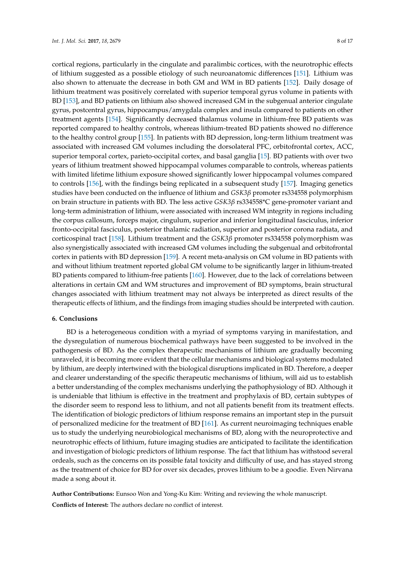cortical regions, particularly in the cingulate and paralimbic cortices, with the neurotrophic effects of lithium suggested as a possible etiology of such neuroanatomic differences [\[151\]](#page-15-12). Lithium was also shown to attenuate the decrease in both GM and WM in BD patients [\[152\]](#page-15-13). Daily dosage of lithium treatment was positively correlated with superior temporal gyrus volume in patients with BD [\[153\]](#page-15-14), and BD patients on lithium also showed increased GM in the subgenual anterior cingulate gyrus, postcentral gyrus, hippocampus/amygdala complex and insula compared to patients on other treatment agents [\[154\]](#page-15-15). Significantly decreased thalamus volume in lithium-free BD patients was reported compared to healthy controls, whereas lithium-treated BD patients showed no difference to the healthy control group [\[155\]](#page-15-16). In patients with BD depression, long-term lithium treatment was associated with increased GM volumes including the dorsolateral PFC, orbitofrontal cortex, ACC, superior temporal cortex, parieto-occipital cortex, and basal ganglia [\[15\]](#page-8-14). BD patients with over two years of lithium treatment showed hippocampal volumes comparable to controls, whereas patients with limited lifetime lithium exposure showed significantly lower hippocampal volumes compared to controls [\[156\]](#page-16-0), with the findings being replicated in a subsequent study [\[157\]](#page-16-1). Imaging genetics studies have been conducted on the influence of lithium and *GSK3β* promoter rs334558 polymorphism on brain structure in patients with BD. The less active *GSK3β* rs334558\*C gene-promoter variant and long-term administration of lithium, were associated with increased WM integrity in regions including the corpus callosum, forceps major, cingulum, superior and inferior longitudinal fasciculus, inferior fronto-occipital fasciculus, posterior thalamic radiation, superior and posterior corona radiata, and corticospinal tract [\[158\]](#page-16-2). Lithium treatment and the *GSK3β* promoter rs334558 polymorphism was also synergistically associated with increased GM volumes including the subgenual and orbitofrontal cortex in patients with BD depression [\[159\]](#page-16-3). A recent meta-analysis on GM volume in BD patients with and without lithium treatment reported global GM volume to be significantly larger in lithium-treated BD patients compared to lithium-free patients [\[160\]](#page-16-4). However, due to the lack of correlations between alterations in certain GM and WM structures and improvement of BD symptoms, brain structural changes associated with lithium treatment may not always be interpreted as direct results of the therapeutic effects of lithium, and the findings from imaging studies should be interpreted with caution.

#### **6. Conclusions**

BD is a heterogeneous condition with a myriad of symptoms varying in manifestation, and the dysregulation of numerous biochemical pathways have been suggested to be involved in the pathogenesis of BD. As the complex therapeutic mechanisms of lithium are gradually becoming unraveled, it is becoming more evident that the cellular mechanisms and biological systems modulated by lithium, are deeply intertwined with the biological disruptions implicated in BD. Therefore, a deeper and clearer understanding of the specific therapeutic mechanisms of lithium, will aid us to establish a better understanding of the complex mechanisms underlying the pathophysiology of BD. Although it is undeniable that lithium is effective in the treatment and prophylaxis of BD, certain subtypes of the disorder seem to respond less to lithium, and not all patients benefit from its treatment effects. The identification of biologic predictors of lithium response remains an important step in the pursuit of personalized medicine for the treatment of BD [\[161\]](#page-16-5). As current neuroimaging techniques enable us to study the underlying neurobiological mechanisms of BD, along with the neuroprotective and neurotrophic effects of lithium, future imaging studies are anticipated to facilitate the identification and investigation of biologic predictors of lithium response. The fact that lithium has withstood several ordeals, such as the concerns on its possible fatal toxicity and difficulty of use, and has stayed strong as the treatment of choice for BD for over six decades, proves lithium to be a goodie. Even Nirvana made a song about it.

**Author Contributions:** Eunsoo Won and Yong-Ku Kim: Writing and reviewing the whole manuscript.

**Conflicts of Interest:** The authors declare no conflict of interest.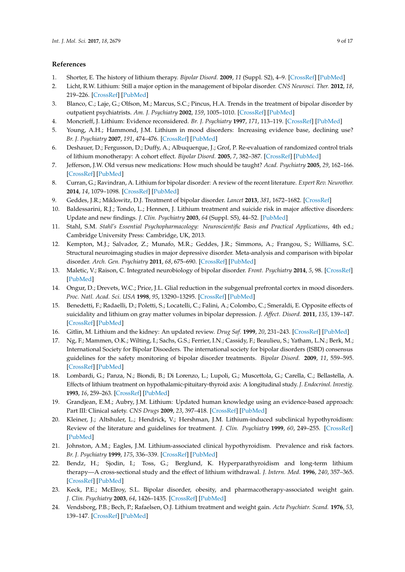# **References**

- <span id="page-8-0"></span>1. Shorter, E. The history of lithium therapy. *Bipolar Disord.* **2009**, *11* (Suppl. S2), 4–9. [\[CrossRef\]](http://dx.doi.org/10.1111/j.1399-5618.2009.00706.x) [\[PubMed\]](http://www.ncbi.nlm.nih.gov/pubmed/19538681)
- <span id="page-8-1"></span>2. Licht, R.W. Lithium: Still a major option in the management of bipolar disorder. *CNS Neurosci. Ther.* **2012**, *18*, 219–226. [\[CrossRef\]](http://dx.doi.org/10.1111/j.1755-5949.2011.00260.x) [\[PubMed\]](http://www.ncbi.nlm.nih.gov/pubmed/22070642)
- <span id="page-8-2"></span>3. Blanco, C.; Laje, G.; Olfson, M.; Marcus, S.C.; Pincus, H.A. Trends in the treatment of bipolar disorder by outpatient psychiatrists. *Am. J. Psychiatry* **2002**, *159*, 1005–1010. [\[CrossRef\]](http://dx.doi.org/10.1176/appi.ajp.159.6.1005) [\[PubMed\]](http://www.ncbi.nlm.nih.gov/pubmed/12042190)
- <span id="page-8-3"></span>4. Moncrieff, J. Lithium: Evidence reconsidered. *Br. J. Psychiatry* **1997**, *171*, 113–119. [\[CrossRef\]](http://dx.doi.org/10.1192/bjp.171.2.113) [\[PubMed\]](http://www.ncbi.nlm.nih.gov/pubmed/9337944)
- <span id="page-8-4"></span>5. Young, A.H.; Hammond, J.M. Lithium in mood disorders: Increasing evidence base, declining use? *Br. J. Psychiatry* **2007**, *191*, 474–476. [\[CrossRef\]](http://dx.doi.org/10.1192/bjp.bp.107.043133) [\[PubMed\]](http://www.ncbi.nlm.nih.gov/pubmed/18055949)
- <span id="page-8-5"></span>6. Deshauer, D.; Fergusson, D.; Duffy, A.; Albuquerque, J.; Grof, P. Re-evaluation of randomized control trials of lithium monotherapy: A cohort effect. *Bipolar Disord.* **2005**, *7*, 382–387. [\[CrossRef\]](http://dx.doi.org/10.1111/j.1399-5618.2005.00206.x) [\[PubMed\]](http://www.ncbi.nlm.nih.gov/pubmed/16026492)
- <span id="page-8-6"></span>7. Jefferson, J.W. Old versus new medications: How much should be taught? *Acad. Psychiatry* **2005**, *29*, 162–166. [\[CrossRef\]](http://dx.doi.org/10.1176/appi.ap.29.2.162) [\[PubMed\]](http://www.ncbi.nlm.nih.gov/pubmed/15937262)
- <span id="page-8-7"></span>8. Curran, G.; Ravindran, A. Lithium for bipolar disorder: A review of the recent literature. *Expert Rev. Neurother.* **2014**, *14*, 1079–1098. [\[CrossRef\]](http://dx.doi.org/10.1586/14737175.2014.947965) [\[PubMed\]](http://www.ncbi.nlm.nih.gov/pubmed/25130062)
- <span id="page-8-8"></span>9. Geddes, J.R.; Miklowitz, D.J. Treatment of bipolar disorder. *Lancet* **2013**, *381*, 1672–1682. [\[CrossRef\]](http://dx.doi.org/10.1016/S0140-6736(13)60857-0)
- <span id="page-8-9"></span>10. Baldessarini, R.J.; Tondo, L.; Hennen, J. Lithium treatment and suicide risk in major affective disorders: Update and new findings. *J. Clin. Psychiatry* **2003**, *64* (Suppl. S5), 44–52. [\[PubMed\]](http://www.ncbi.nlm.nih.gov/pubmed/12720484)
- <span id="page-8-10"></span>11. Stahl, S.M. *Stahl's Essential Psychopharmacology: Neuroscientific Basis and Practical Applications*, 4th ed.; Cambridge University Press: Cambridge, UK, 2013.
- <span id="page-8-11"></span>12. Kempton, M.J.; Salvador, Z.; Munafo, M.R.; Geddes, J.R.; Simmons, A.; Frangou, S.; Williams, S.C. Structural neuroimaging studies in major depressive disorder. Meta-analysis and comparison with bipolar disorder. *Arch. Gen. Psychiatry* **2011**, *68*, 675–690. [\[CrossRef\]](http://dx.doi.org/10.1001/archgenpsychiatry.2011.60) [\[PubMed\]](http://www.ncbi.nlm.nih.gov/pubmed/21727252)
- <span id="page-8-12"></span>13. Maletic, V.; Raison, C. Integrated neurobiology of bipolar disorder. *Front. Psychiatry* **2014**, *5*, 98. [\[CrossRef\]](http://dx.doi.org/10.3389/fpsyt.2014.00098) [\[PubMed\]](http://www.ncbi.nlm.nih.gov/pubmed/25202283)
- <span id="page-8-13"></span>14. Ongur, D.; Drevets, W.C.; Price, J.L. Glial reduction in the subgenual prefrontal cortex in mood disorders. *Proc. Natl. Acad. Sci. USA* **1998**, *95*, 13290–13295. [\[CrossRef\]](http://dx.doi.org/10.1073/pnas.95.22.13290) [\[PubMed\]](http://www.ncbi.nlm.nih.gov/pubmed/9789081)
- <span id="page-8-14"></span>15. Benedetti, F.; Radaelli, D.; Poletti, S.; Locatelli, C.; Falini, A.; Colombo, C.; Smeraldi, E. Opposite effects of suicidality and lithium on gray matter volumes in bipolar depression. *J. Affect. Disord.* **2011**, *135*, 139–147. [\[CrossRef\]](http://dx.doi.org/10.1016/j.jad.2011.07.006) [\[PubMed\]](http://www.ncbi.nlm.nih.gov/pubmed/21807414)
- <span id="page-8-15"></span>16. Gitlin, M. Lithium and the kidney: An updated review. *Drug Saf.* **1999**, *20*, 231–243. [\[CrossRef\]](http://dx.doi.org/10.2165/00002018-199920030-00004) [\[PubMed\]](http://www.ncbi.nlm.nih.gov/pubmed/10221853)
- <span id="page-8-16"></span>17. Ng, F.; Mammen, O.K.; Wilting, I.; Sachs, G.S.; Ferrier, I.N.; Cassidy, F.; Beaulieu, S.; Yatham, L.N.; Berk, M.; International Society for Bipolar Disoeders. The international society for bipolar disorders (ISBD) consensus guidelines for the safety monitoring of bipolar disorder treatments. *Bipolar Disord.* **2009**, *11*, 559–595. [\[CrossRef\]](http://dx.doi.org/10.1111/j.1399-5618.2009.00737.x) [\[PubMed\]](http://www.ncbi.nlm.nih.gov/pubmed/19689501)
- <span id="page-8-17"></span>18. Lombardi, G.; Panza, N.; Biondi, B.; Di Lorenzo, L.; Lupoli, G.; Muscettola, G.; Carella, C.; Bellastella, A. Effects of lithium treatment on hypothalamic-pituitary-thyroid axis: A longitudinal study. *J. Endocrinol. Investig.* **1993**, *16*, 259–263. [\[CrossRef\]](http://dx.doi.org/10.1007/BF03348825) [\[PubMed\]](http://www.ncbi.nlm.nih.gov/pubmed/8514981)
- <span id="page-8-18"></span>19. Grandjean, E.M.; Aubry, J.M. Lithium: Updated human knowledge using an evidence-based approach: Part III: Clinical safety. *CNS Drugs* **2009**, *23*, 397–418. [\[CrossRef\]](http://dx.doi.org/10.2165/00023210-200923050-00004) [\[PubMed\]](http://www.ncbi.nlm.nih.gov/pubmed/19453201)
- <span id="page-8-19"></span>20. Kleiner, J.; Altshuler, L.; Hendrick, V.; Hershman, J.M. Lithium-induced subclinical hypothyroidism: Review of the literature and guidelines for treatment. *J. Clin. Psychiatry* **1999**, *60*, 249–255. [\[CrossRef\]](http://dx.doi.org/10.4088/JCP.v60n0409) [\[PubMed\]](http://www.ncbi.nlm.nih.gov/pubmed/10221287)
- <span id="page-8-20"></span>21. Johnston, A.M.; Eagles, J.M. Lithium-associated clinical hypothyroidism. Prevalence and risk factors. *Br. J. Psychiatry* **1999**, *175*, 336–339. [\[CrossRef\]](http://dx.doi.org/10.1192/bjp.175.4.336) [\[PubMed\]](http://www.ncbi.nlm.nih.gov/pubmed/10789300)
- <span id="page-8-21"></span>22. Bendz, H.; Sjodin, I.; Toss, G.; Berglund, K. Hyperparathyroidism and long-term lithium therapy—A cross-sectional study and the effect of lithium withdrawal. *J. Intern. Med.* **1996**, *240*, 357–365. [\[CrossRef\]](http://dx.doi.org/10.1046/j.1365-2796.1996.28864000.x) [\[PubMed\]](http://www.ncbi.nlm.nih.gov/pubmed/9010382)
- <span id="page-8-22"></span>23. Keck, P.E.; McElroy, S.L. Bipolar disorder, obesity, and pharmacotherapy-associated weight gain. *J. Clin. Psychiatry* **2003**, *64*, 1426–1435. [\[CrossRef\]](http://dx.doi.org/10.4088/JCP.v64n1205) [\[PubMed\]](http://www.ncbi.nlm.nih.gov/pubmed/14728103)
- <span id="page-8-23"></span>24. Vendsborg, P.B.; Bech, P.; Rafaelsen, O.J. Lithium treatment and weight gain. *Acta Psychiatr. Scand.* **1976**, *53*, 139–147. [\[CrossRef\]](http://dx.doi.org/10.1111/j.1600-0447.1976.tb00067.x) [\[PubMed\]](http://www.ncbi.nlm.nih.gov/pubmed/1251759)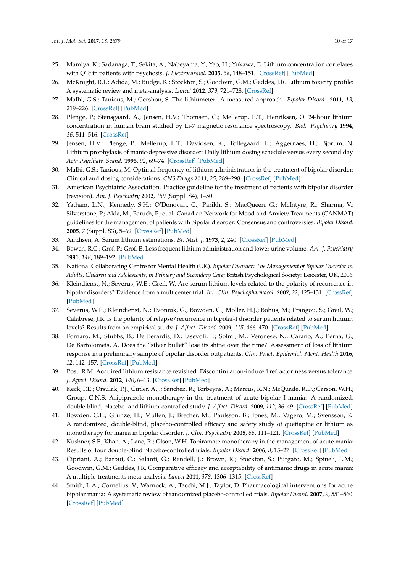- <span id="page-9-0"></span>25. Mamiya, K.; Sadanaga, T.; Sekita, A.; Nabeyama, Y.; Yao, H.; Yukawa, E. Lithium concentration correlates with QTc in patients with psychosis. *J. Electrocardiol.* **2005**, *38*, 148–151. [\[CrossRef\]](http://dx.doi.org/10.1016/j.jelectrocard.2004.10.004) [\[PubMed\]](http://www.ncbi.nlm.nih.gov/pubmed/15892025)
- <span id="page-9-1"></span>26. McKnight, R.F.; Adida, M.; Budge, K.; Stockton, S.; Goodwin, G.M.; Geddes, J.R. Lithium toxicity profile: A systematic review and meta-analysis. *Lancet* **2012**, *379*, 721–728. [\[CrossRef\]](http://dx.doi.org/10.1016/S0140-6736(11)61516-X)
- <span id="page-9-2"></span>27. Malhi, G.S.; Tanious, M.; Gershon, S. The lithiumeter: A measured approach. *Bipolar Disord.* **2011**, *13*, 219–226. [\[CrossRef\]](http://dx.doi.org/10.1111/j.1399-5618.2011.00918.x) [\[PubMed\]](http://www.ncbi.nlm.nih.gov/pubmed/21676125)
- <span id="page-9-3"></span>28. Plenge, P.; Stensgaard, A.; Jensen, H.V.; Thomsen, C.; Mellerup, E.T.; Henriksen, O. 24-hour lithium concentration in human brain studied by Li-7 magnetic resonance spectroscopy. *Biol. Psychiatry* **1994**, *36*, 511–516. [\[CrossRef\]](http://dx.doi.org/10.1016/0006-3223(94)90614-9)
- <span id="page-9-4"></span>29. Jensen, H.V.; Plenge, P.; Mellerup, E.T.; Davidsen, K.; Toftegaard, L.; Aggernaes, H.; Bjorum, N. Lithium prophylaxis of manic-depressive disorder: Daily lithium dosing schedule versus every second day. *Acta Psychiatr. Scand.* **1995**, *92*, 69–74. [\[CrossRef\]](http://dx.doi.org/10.1111/j.1600-0447.1995.tb09545.x) [\[PubMed\]](http://www.ncbi.nlm.nih.gov/pubmed/7572251)
- <span id="page-9-5"></span>30. Malhi, G.S.; Tanious, M. Optimal frequency of lithium administration in the treatment of bipolar disorder: Clinical and dosing considerations. *CNS Drugs* **2011**, *25*, 289–298. [\[CrossRef\]](http://dx.doi.org/10.2165/11586970-000000000-00000) [\[PubMed\]](http://www.ncbi.nlm.nih.gov/pubmed/21425882)
- <span id="page-9-6"></span>31. American Psychiatric Association. Practice guideline for the treatment of patients with bipolar disorder (revision). *Am. J. Psychiatry* **2002**, *159* (Suppl. S4), 1–50.
- <span id="page-9-7"></span>32. Yatham, L.N.; Kennedy, S.H.; O'Donovan, C.; Parikh, S.; MacQueen, G.; McIntyre, R.; Sharma, V.; Silverstone, P.; Alda, M.; Baruch, P.; et al. Canadian Network for Mood and Anxiety Treatments (CANMAT) guidelines for the management of patients with bipolar disorder: Consensus and controversies. *Bipolar Disord.* **2005**, *7* (Suppl. S3), 5–69. [\[CrossRef\]](http://dx.doi.org/10.1111/j.1399-5618.2005.00219.x) [\[PubMed\]](http://www.ncbi.nlm.nih.gov/pubmed/15952957)
- <span id="page-9-8"></span>33. Amdisen, A. Serum lithium estimations. *Br. Med. J.* **1973**, *2*, 240. [\[CrossRef\]](http://dx.doi.org/10.1136/bmj.2.5860.240-a) [\[PubMed\]](http://www.ncbi.nlm.nih.gov/pubmed/4700014)
- <span id="page-9-9"></span>34. Bowen, R.C.; Grof, P.; Grof, E. Less frequent lithium administration and lower urine volume. *Am. J. Psychiatry* **1991**, *148*, 189–192. [\[PubMed\]](http://www.ncbi.nlm.nih.gov/pubmed/1987816)
- <span id="page-9-10"></span>35. National Collaborating Centre for Mental Health (UK). *Bipolar Disorder: The Management of Bipolar Disorder in Adults, Children and Adolescents, in Primary and Secondary Care*; British Psychological Society: Leicester, UK, 2006.
- <span id="page-9-11"></span>36. Kleindienst, N.; Severus, W.E.; Greil, W. Are serum lithium levels related to the polarity of recurrence in bipolar disorders? Evidence from a multicenter trial. *Int. Clin. Psychopharmacol.* **2007**, *22*, 125–131. [\[CrossRef\]](http://dx.doi.org/10.1097/01.yic.0000224788.21406.c8) [\[PubMed\]](http://www.ncbi.nlm.nih.gov/pubmed/17414737)
- <span id="page-9-12"></span>37. Severus, W.E.; Kleindienst, N.; Evoniuk, G.; Bowden, C.; Moller, H.J.; Bohus, M.; Frangou, S.; Greil, W.; Calabrese, J.R. Is the polarity of relapse/recurrence in bipolar-I disorder patients related to serum lithium levels? Results from an empirical study. *J. Affect. Disord.* **2009**, *115*, 466–470. [\[CrossRef\]](http://dx.doi.org/10.1016/j.jad.2008.10.009) [\[PubMed\]](http://www.ncbi.nlm.nih.gov/pubmed/19019453)
- <span id="page-9-13"></span>38. Fornaro, M.; Stubbs, B.; De Berardis, D.; Iasevoli, F.; Solmi, M.; Veronese, N.; Carano, A.; Perna, G.; De Bartolomeis, A. Does the "silver bullet" lose its shine over the time? Assessment of loss of lithium response in a preliminary sample of bipolar disorder outpatients. *Clin. Pract. Epidemiol. Ment. Health* **2016**, *12*, 142–157. [\[CrossRef\]](http://dx.doi.org/10.2174/1745017901612010142) [\[PubMed\]](http://www.ncbi.nlm.nih.gov/pubmed/28217142)
- <span id="page-9-14"></span>39. Post, R.M. Acquired lithium resistance revisited: Discontinuation-induced refractoriness versus tolerance. *J. Affect. Disord.* **2012**, *140*, 6–13. [\[CrossRef\]](http://dx.doi.org/10.1016/j.jad.2011.09.021) [\[PubMed\]](http://www.ncbi.nlm.nih.gov/pubmed/22154708)
- <span id="page-9-15"></span>40. Keck, P.E.; Orsulak, P.J.; Cutler, A.J.; Sanchez, R.; Torbeyns, A.; Marcus, R.N.; McQuade, R.D.; Carson, W.H.; Group, C.N.S. Aripiprazole monotherapy in the treatment of acute bipolar I mania: A randomized, double-blind, placebo- and lithium-controlled study. *J. Affect. Disord.* **2009**, *112*, 36–49. [\[CrossRef\]](http://dx.doi.org/10.1016/j.jad.2008.05.014) [\[PubMed\]](http://www.ncbi.nlm.nih.gov/pubmed/18835043)
- <span id="page-9-18"></span>41. Bowden, C.L.; Grunze, H.; Mullen, J.; Brecher, M.; Paulsson, B.; Jones, M.; Vagero, M.; Svensson, K. A randomized, double-blind, placebo-controlled efficacy and safety study of quetiapine or lithium as monotherapy for mania in bipolar disorder. *J. Clin. Psychiatry* **2005**, *66*, 111–121. [\[CrossRef\]](http://dx.doi.org/10.4088/JCP.v66n0116) [\[PubMed\]](http://www.ncbi.nlm.nih.gov/pubmed/15669897)
- <span id="page-9-16"></span>42. Kushner, S.F.; Khan, A.; Lane, R.; Olson, W.H. Topiramate monotherapy in the management of acute mania: Results of four double-blind placebo-controlled trials. *Bipolar Disord.* **2006**, *8*, 15–27. [\[CrossRef\]](http://dx.doi.org/10.1111/j.1399-5618.2006.00276.x) [\[PubMed\]](http://www.ncbi.nlm.nih.gov/pubmed/16411977)
- <span id="page-9-17"></span>43. Cipriani, A.; Barbui, C.; Salanti, G.; Rendell, J.; Brown, R.; Stockton, S.; Purgato, M.; Spineli, L.M.; Goodwin, G.M.; Geddes, J.R. Comparative efficacy and acceptability of antimanic drugs in acute mania: A multiple-treatments meta-analysis. *Lancet* **2011**, *378*, 1306–1315. [\[CrossRef\]](http://dx.doi.org/10.1016/S0140-6736(11)60873-8)
- 44. Smith, L.A.; Cornelius, V.; Warnock, A.; Tacchi, M.J.; Taylor, D. Pharmacological interventions for acute bipolar mania: A systematic review of randomized placebo-controlled trials. *Bipolar Disord.* **2007**, *9*, 551–560. [\[CrossRef\]](http://dx.doi.org/10.1111/j.1399-5618.2007.00468.x) [\[PubMed\]](http://www.ncbi.nlm.nih.gov/pubmed/17845269)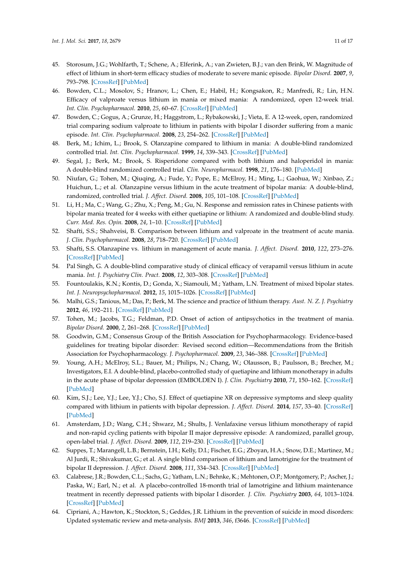- <span id="page-10-0"></span>45. Storosum, J.G.; Wohlfarth, T.; Schene, A.; Elferink, A.; van Zwieten, B.J.; van den Brink, W. Magnitude of effect of lithium in short-term efficacy studies of moderate to severe manic episode. *Bipolar Disord.* **2007**, *9*, 793–798. [\[CrossRef\]](http://dx.doi.org/10.1111/j.1399-5618.2007.00445.x) [\[PubMed\]](http://www.ncbi.nlm.nih.gov/pubmed/18076528)
- <span id="page-10-1"></span>46. Bowden, C.L.; Mosolov, S.; Hranov, L.; Chen, E.; Habil, H.; Kongsakon, R.; Manfredi, R.; Lin, H.N. Efficacy of valproate versus lithium in mania or mixed mania: A randomized, open 12-week trial. *Int. Clin. Psychopharmacol.* **2010**, *25*, 60–67. [\[CrossRef\]](http://dx.doi.org/10.1097/YIC.0b013e328333ac1b) [\[PubMed\]](http://www.ncbi.nlm.nih.gov/pubmed/20101186)
- <span id="page-10-2"></span>47. Bowden, C.; Gogus, A.; Grunze, H.; Haggstrom, L.; Rybakowski, J.; Vieta, E. A 12-week, open, randomized trial comparing sodium valproate to lithium in patients with bipolar I disorder suffering from a manic episode. *Int. Clin. Psychopharmacol.* **2008**, *23*, 254–262. [\[CrossRef\]](http://dx.doi.org/10.1097/YIC.0b013e3282fd827c) [\[PubMed\]](http://www.ncbi.nlm.nih.gov/pubmed/18703934)
- <span id="page-10-3"></span>48. Berk, M.; Ichim, L.; Brook, S. Olanzapine compared to lithium in mania: A double-blind randomized controlled trial. *Int. Clin. Psychopharmacol.* **1999**, *14*, 339–343. [\[CrossRef\]](http://dx.doi.org/10.1097/00004850-199911000-00003) [\[PubMed\]](http://www.ncbi.nlm.nih.gov/pubmed/10565800)
- <span id="page-10-4"></span>49. Segal, J.; Berk, M.; Brook, S. Risperidone compared with both lithium and haloperidol in mania: A double-blind randomized controlled trial. *Clin. Neuropharmacol.* **1998**, *21*, 176–180. [\[PubMed\]](http://www.ncbi.nlm.nih.gov/pubmed/9617509)
- <span id="page-10-5"></span>50. Niufan, G.; Tohen, M.; Qiuqing, A.; Fude, Y.; Pope, E.; McElroy, H.; Ming, L.; Gaohua, W.; Xinbao, Z.; Huichun, L.; et al. Olanzapine versus lithium in the acute treatment of bipolar mania: A double-blind, randomized, controlled trial. *J. Affect. Disord.* **2008**, *105*, 101–108. [\[CrossRef\]](http://dx.doi.org/10.1016/j.jad.2007.04.020) [\[PubMed\]](http://www.ncbi.nlm.nih.gov/pubmed/17531327)
- <span id="page-10-6"></span>51. Li, H.; Ma, C.; Wang, G.; Zhu, X.; Peng, M.; Gu, N. Response and remission rates in Chinese patients with bipolar mania treated for 4 weeks with either quetiapine or lithium: A randomized and double-blind study. *Curr. Med. Res. Opin.* **2008**, *24*, 1–10. [\[CrossRef\]](http://dx.doi.org/10.1185/030079908X253933) [\[PubMed\]](http://www.ncbi.nlm.nih.gov/pubmed/18028587)
- <span id="page-10-7"></span>52. Shafti, S.S.; Shahveisi, B. Comparison between lithium and valproate in the treatment of acute mania. *J. Clin. Psychopharmacol.* **2008**, *28*, 718–720. [\[CrossRef\]](http://dx.doi.org/10.1097/JCP.0b013e31818ce5ba) [\[PubMed\]](http://www.ncbi.nlm.nih.gov/pubmed/19011453)
- <span id="page-10-8"></span>53. Shafti, S.S. Olanzapine vs. lithium in management of acute mania. *J. Affect. Disord.* **2010**, *122*, 273–276. [\[CrossRef\]](http://dx.doi.org/10.1016/j.jad.2009.08.013) [\[PubMed\]](http://www.ncbi.nlm.nih.gov/pubmed/19740546)
- <span id="page-10-9"></span>54. Pal Singh, G. A double-blind comparative study of clinical efficacy of verapamil versus lithium in acute mania. *Int. J. Psychiatry Clin. Pract.* **2008**, *12*, 303–308. [\[CrossRef\]](http://dx.doi.org/10.1080/13651500802209670) [\[PubMed\]](http://www.ncbi.nlm.nih.gov/pubmed/24937719)
- <span id="page-10-10"></span>55. Fountoulakis, K.N.; Kontis, D.; Gonda, X.; Siamouli, M.; Yatham, L.N. Treatment of mixed bipolar states. *Int. J. Neuropsychopharmacol.* **2012**, *15*, 1015–1026. [\[CrossRef\]](http://dx.doi.org/10.1017/S1461145711001817) [\[PubMed\]](http://www.ncbi.nlm.nih.gov/pubmed/22217434)
- <span id="page-10-11"></span>56. Malhi, G.S.; Tanious, M.; Das, P.; Berk, M. The science and practice of lithium therapy. *Aust. N. Z. J. Psychiatry* **2012**, *46*, 192–211. [\[CrossRef\]](http://dx.doi.org/10.1177/0004867412437346) [\[PubMed\]](http://www.ncbi.nlm.nih.gov/pubmed/22391277)
- <span id="page-10-12"></span>57. Tohen, M.; Jacobs, T.G.; Feldman, P.D. Onset of action of antipsychotics in the treatment of mania. *Bipolar Disord.* **2000**, *2*, 261–268. [\[CrossRef\]](http://dx.doi.org/10.1034/j.1399-5618.2000.20307.x) [\[PubMed\]](http://www.ncbi.nlm.nih.gov/pubmed/11249804)
- <span id="page-10-13"></span>58. Goodwin, G.M.; Consensus Group of the British Association for Psychopharmacology. Evidence-based guidelines for treating bipolar disorder: Revised second edition—Recommendations from the British Association for Psychopharmacology. *J. Psychopharmacol.* **2009**, *23*, 346–388. [\[CrossRef\]](http://dx.doi.org/10.1177/0269881109102919) [\[PubMed\]](http://www.ncbi.nlm.nih.gov/pubmed/19329543)
- <span id="page-10-14"></span>59. Young, A.H.; McElroy, S.L.; Bauer, M.; Philips, N.; Chang, W.; Olausson, B.; Paulsson, B.; Brecher, M.; Investigators, E.I. A double-blind, placebo-controlled study of quetiapine and lithium monotherapy in adults in the acute phase of bipolar depression (EMBOLDEN I). *J. Clin. Psychiatry* **2010**, *71*, 150–162. [\[CrossRef\]](http://dx.doi.org/10.4088/JCP.08m04995gre) [\[PubMed\]](http://www.ncbi.nlm.nih.gov/pubmed/20122369)
- <span id="page-10-15"></span>60. Kim, S.J.; Lee, Y.J.; Lee, Y.J.; Cho, S.J. Effect of quetiapine XR on depressive symptoms and sleep quality compared with lithium in patients with bipolar depression. *J. Affect. Disord.* **2014**, *157*, 33–40. [\[CrossRef\]](http://dx.doi.org/10.1016/j.jad.2013.12.032) [\[PubMed\]](http://www.ncbi.nlm.nih.gov/pubmed/24581825)
- <span id="page-10-16"></span>61. Amsterdam, J.D.; Wang, C.H.; Shwarz, M.; Shults, J. Venlafaxine versus lithium monotherapy of rapid and non-rapid cycling patients with bipolar II major depressive episode: A randomized, parallel group, open-label trial. *J. Affect. Disord.* **2009**, *112*, 219–230. [\[CrossRef\]](http://dx.doi.org/10.1016/j.jad.2008.03.029) [\[PubMed\]](http://www.ncbi.nlm.nih.gov/pubmed/18486235)
- <span id="page-10-17"></span>62. Suppes, T.; Marangell, L.B.; Bernstein, I.H.; Kelly, D.I.; Fischer, E.G.; Zboyan, H.A.; Snow, D.E.; Martinez, M.; Al Jurdi, R.; Shivakumar, G.; et al. A single blind comparison of lithium and lamotrigine for the treatment of bipolar II depression. *J. Affect. Disord.* **2008**, *111*, 334–343. [\[CrossRef\]](http://dx.doi.org/10.1016/j.jad.2008.02.004) [\[PubMed\]](http://www.ncbi.nlm.nih.gov/pubmed/18358540)
- <span id="page-10-18"></span>63. Calabrese, J.R.; Bowden, C.L.; Sachs, G.; Yatham, L.N.; Behnke, K.; Mehtonen, O.P.; Montgomery, P.; Ascher, J.; Paska, W.; Earl, N.; et al. A placebo-controlled 18-month trial of lamotrigine and lithium maintenance treatment in recently depressed patients with bipolar I disorder. *J. Clin. Psychiatry* **2003**, *64*, 1013–1024. [\[CrossRef\]](http://dx.doi.org/10.4088/JCP.v64n0906) [\[PubMed\]](http://www.ncbi.nlm.nih.gov/pubmed/14628976)
- <span id="page-10-19"></span>64. Cipriani, A.; Hawton, K.; Stockton, S.; Geddes, J.R. Lithium in the prevention of suicide in mood disorders: Updated systematic review and meta-analysis. *BMJ* **2013**, *346*, f3646. [\[CrossRef\]](http://dx.doi.org/10.1136/bmj.f3646) [\[PubMed\]](http://www.ncbi.nlm.nih.gov/pubmed/23814104)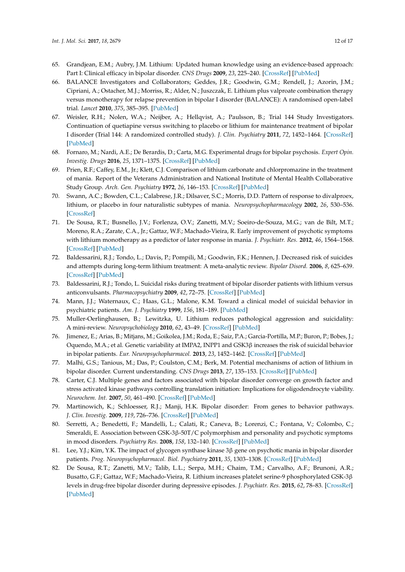- <span id="page-11-0"></span>65. Grandjean, E.M.; Aubry, J.M. Lithium: Updated human knowledge using an evidence-based approach: Part I: Clinical efficacy in bipolar disorder. *CNS Drugs* **2009**, *23*, 225–240. [\[CrossRef\]](http://dx.doi.org/10.2165/00023210-200923030-00004) [\[PubMed\]](http://www.ncbi.nlm.nih.gov/pubmed/19320531)
- <span id="page-11-1"></span>66. BALANCE Investigators and Collaborators; Geddes, J.R.; Goodwin, G.M.; Rendell, J.; Azorin, J.M.; Cipriani, A.; Ostacher, M.J.; Morriss, R.; Alder, N.; Juszczak, E. Lithium plus valproate combination therapy versus monotherapy for relapse prevention in bipolar I disorder (BALANCE): A randomised open-label trial. *Lancet* **2010**, *375*, 385–395. [\[PubMed\]](http://www.ncbi.nlm.nih.gov/pubmed/20092882)
- <span id="page-11-2"></span>67. Weisler, R.H.; Nolen, W.A.; Neijber, A.; Hellqvist, A.; Paulsson, B.; Trial 144 Study Investigators. Continuation of quetiapine versus switching to placebo or lithium for maintenance treatment of bipolar I disorder (Trial 144: A randomized controlled study). *J. Clin. Psychiatry* **2011**, *72*, 1452–1464. [\[CrossRef\]](http://dx.doi.org/10.4088/JCP.11m06878) [\[PubMed\]](http://www.ncbi.nlm.nih.gov/pubmed/22054050)
- <span id="page-11-3"></span>68. Fornaro, M.; Nardi, A.E.; De Berardis, D.; Carta, M.G. Experimental drugs for bipolar psychosis. *Expert Opin. Investig. Drugs* **2016**, *25*, 1371–1375. [\[CrossRef\]](http://dx.doi.org/10.1080/13543784.2016.1256390) [\[PubMed\]](http://www.ncbi.nlm.nih.gov/pubmed/27802062)
- <span id="page-11-4"></span>69. Prien, R.F.; Caffey, E.M., Jr.; Klett, C.J. Comparison of lithium carbonate and chlorpromazine in the treatment of mania. Report of the Veterans Administration and National Institute of Mental Health Collaborative Study Group. *Arch. Gen. Psychiatry* **1972**, *26*, 146–153. [\[CrossRef\]](http://dx.doi.org/10.1001/archpsyc.1972.01750200050011) [\[PubMed\]](http://www.ncbi.nlm.nih.gov/pubmed/4551257)
- <span id="page-11-5"></span>70. Swann, A.C.; Bowden, C.L.; Calabrese, J.R.; Dilsaver, S.C.; Morris, D.D. Pattern of response to divalproex, lithium, or placebo in four naturalistic subtypes of mania. *Neuropsychopharmacology* **2002**, *26*, 530–536. [\[CrossRef\]](http://dx.doi.org/10.1016/S0893-133X(01)00390-6)
- <span id="page-11-6"></span>71. De Sousa, R.T.; Busnello, J.V.; Forlenza, O.V.; Zanetti, M.V.; Soeiro-de-Souza, M.G.; van de Bilt, M.T.; Moreno, R.A.; Zarate, C.A., Jr.; Gattaz, W.F.; Machado-Vieira, R. Early improvement of psychotic symptoms with lithium monotherapy as a predictor of later response in mania. *J. Psychiatr. Res.* **2012**, *46*, 1564–1568. [\[CrossRef\]](http://dx.doi.org/10.1016/j.jpsychires.2012.08.011) [\[PubMed\]](http://www.ncbi.nlm.nih.gov/pubmed/23000368)
- <span id="page-11-7"></span>72. Baldessarini, R.J.; Tondo, L.; Davis, P.; Pompili, M.; Goodwin, F.K.; Hennen, J. Decreased risk of suicides and attempts during long-term lithium treatment: A meta-analytic review. *Bipolar Disord.* **2006**, *8*, 625–639. [\[CrossRef\]](http://dx.doi.org/10.1111/j.1399-5618.2006.00344.x) [\[PubMed\]](http://www.ncbi.nlm.nih.gov/pubmed/17042835)
- <span id="page-11-8"></span>73. Baldessarini, R.J.; Tondo, L. Suicidal risks during treatment of bipolar disorder patients with lithium versus anticonvulsants. *Pharmacopsychiatry* **2009**, *42*, 72–75. [\[CrossRef\]](http://dx.doi.org/10.1055/s-0028-1103291) [\[PubMed\]](http://www.ncbi.nlm.nih.gov/pubmed/19308882)
- <span id="page-11-9"></span>74. Mann, J.J.; Waternaux, C.; Haas, G.L.; Malone, K.M. Toward a clinical model of suicidal behavior in psychiatric patients. *Am. J. Psychiatry* **1999**, *156*, 181–189. [\[PubMed\]](http://www.ncbi.nlm.nih.gov/pubmed/9989552)
- <span id="page-11-10"></span>75. Muller-Oerlinghausen, B.; Lewitzka, U. Lithium reduces pathological aggression and suicidality: A mini-review. *Neuropsychobiology* **2010**, *62*, 43–49. [\[CrossRef\]](http://dx.doi.org/10.1159/000314309) [\[PubMed\]](http://www.ncbi.nlm.nih.gov/pubmed/20453534)
- <span id="page-11-11"></span>76. Jimenez, E.; Arias, B.; Mitjans, M.; Goikolea, J.M.; Roda, E.; Saiz, P.A.; Garcia-Portilla, M.P.; Buron, P.; Bobes, J.; Oquendo, M.A.; et al. Genetic variability at IMPA2, INPP1 and GSK3β increases the risk of suicidal behavior in bipolar patients. *Eur. Neuropsychopharmacol.* **2013**, *23*, 1452–1462. [\[CrossRef\]](http://dx.doi.org/10.1016/j.euroneuro.2013.01.007) [\[PubMed\]](http://www.ncbi.nlm.nih.gov/pubmed/23453640)
- <span id="page-11-12"></span>77. Malhi, G.S.; Tanious, M.; Das, P.; Coulston, C.M.; Berk, M. Potential mechanisms of action of lithium in bipolar disorder. Current understanding. *CNS Drugs* **2013**, *27*, 135–153. [\[CrossRef\]](http://dx.doi.org/10.1007/s40263-013-0039-0) [\[PubMed\]](http://www.ncbi.nlm.nih.gov/pubmed/23371914)
- <span id="page-11-13"></span>78. Carter, C.J. Multiple genes and factors associated with bipolar disorder converge on growth factor and stress activated kinase pathways controlling translation initiation: Implications for oligodendrocyte viability. *Neurochem. Int.* **2007**, *50*, 461–490. [\[CrossRef\]](http://dx.doi.org/10.1016/j.neuint.2006.11.009) [\[PubMed\]](http://www.ncbi.nlm.nih.gov/pubmed/17239488)
- <span id="page-11-14"></span>79. Martinowich, K.; Schloesser, R.J.; Manji, H.K. Bipolar disorder: From genes to behavior pathways. *J. Clin. Investig.* **2009**, *119*, 726–736. [\[CrossRef\]](http://dx.doi.org/10.1172/JCI37703) [\[PubMed\]](http://www.ncbi.nlm.nih.gov/pubmed/19339764)
- <span id="page-11-15"></span>80. Serretti, A.; Benedetti, F.; Mandelli, L.; Calati, R.; Caneva, B.; Lorenzi, C.; Fontana, V.; Colombo, C.; Smeraldi, E. Association between GSK-3β-50T/C polymorphism and personality and psychotic symptoms in mood disorders. *Psychiatry Res.* **2008**, *158*, 132–140. [\[CrossRef\]](http://dx.doi.org/10.1016/j.psychres.2007.06.017) [\[PubMed\]](http://www.ncbi.nlm.nih.gov/pubmed/17976739)
- <span id="page-11-16"></span>81. Lee, Y.J.; Kim, Y.K. The impact of glycogen synthase kinase 3β gene on psychotic mania in bipolar disorder patients. *Prog. Neuropsychopharmacol. Biol. Psychiatry* **2011**, *35*, 1303–1308. [\[CrossRef\]](http://dx.doi.org/10.1016/j.pnpbp.2011.04.006) [\[PubMed\]](http://www.ncbi.nlm.nih.gov/pubmed/21549170)
- <span id="page-11-17"></span>82. De Sousa, R.T.; Zanetti, M.V.; Talib, L.L.; Serpa, M.H.; Chaim, T.M.; Carvalho, A.F.; Brunoni, A.R.; Busatto, G.F.; Gattaz, W.F.; Machado-Vieira, R. Lithium increases platelet serine-9 phosphorylated GSK-3β levels in drug-free bipolar disorder during depressive episodes. *J. Psychiatr. Res.* **2015**, *62*, 78–83. [\[CrossRef\]](http://dx.doi.org/10.1016/j.jpsychires.2015.01.016) [\[PubMed\]](http://www.ncbi.nlm.nih.gov/pubmed/25691093)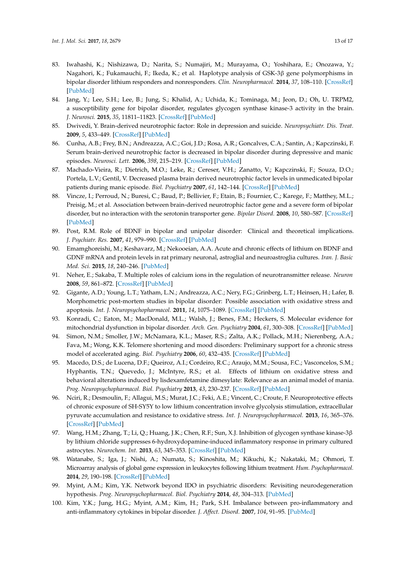- <span id="page-12-0"></span>83. Iwahashi, K.; Nishizawa, D.; Narita, S.; Numajiri, M.; Murayama, O.; Yoshihara, E.; Onozawa, Y.; Nagahori, K.; Fukamauchi, F.; Ikeda, K.; et al. Haplotype analysis of GSK-3β gene polymorphisms in bipolar disorder lithium responders and nonresponders. *Clin. Neuropharmacol.* **2014**, *37*, 108–110. [\[CrossRef\]](http://dx.doi.org/10.1097/WNF.0000000000000039) [\[PubMed\]](http://www.ncbi.nlm.nih.gov/pubmed/24992082)
- <span id="page-12-1"></span>84. Jang, Y.; Lee, S.H.; Lee, B.; Jung, S.; Khalid, A.; Uchida, K.; Tominaga, M.; Jeon, D.; Oh, U. TRPM2, a susceptibility gene for bipolar disorder, regulates glycogen synthase kinase-3 activity in the brain. *J. Neurosci.* **2015**, *35*, 11811–11823. [\[CrossRef\]](http://dx.doi.org/10.1523/JNEUROSCI.5251-14.2015) [\[PubMed\]](http://www.ncbi.nlm.nih.gov/pubmed/26311765)
- <span id="page-12-2"></span>85. Dwivedi, Y. Brain-derived neurotrophic factor: Role in depression and suicide. *Neuropsychiatr. Dis. Treat.* **2009**, *5*, 433–449. [\[CrossRef\]](http://dx.doi.org/10.2147/NDT.S5700) [\[PubMed\]](http://www.ncbi.nlm.nih.gov/pubmed/19721723)
- <span id="page-12-3"></span>86. Cunha, A.B.; Frey, B.N.; Andreazza, A.C.; Goi, J.D.; Rosa, A.R.; Goncalves, C.A.; Santin, A.; Kapczinski, F. Serum brain-derived neurotrophic factor is decreased in bipolar disorder during depressive and manic episodes. *Neurosci. Lett.* **2006**, *398*, 215–219. [\[CrossRef\]](http://dx.doi.org/10.1016/j.neulet.2005.12.085) [\[PubMed\]](http://www.ncbi.nlm.nih.gov/pubmed/16480819)
- <span id="page-12-4"></span>87. Machado-Vieira, R.; Dietrich, M.O.; Leke, R.; Cereser, V.H.; Zanatto, V.; Kapczinski, F.; Souza, D.O.; Portela, L.V.; Gentil, V. Decreased plasma brain derived neurotrophic factor levels in unmedicated bipolar patients during manic episode. *Biol. Psychiatry* **2007**, *61*, 142–144. [\[CrossRef\]](http://dx.doi.org/10.1016/j.biopsych.2006.03.070) [\[PubMed\]](http://www.ncbi.nlm.nih.gov/pubmed/16893527)
- <span id="page-12-5"></span>88. Vincze, I.; Perroud, N.; Buresi, C.; Baud, P.; Bellivier, F.; Etain, B.; Fournier, C.; Karege, F.; Matthey, M.L.; Preisig, M.; et al. Association between brain-derived neurotrophic factor gene and a severe form of bipolar disorder, but no interaction with the serotonin transporter gene. *Bipolar Disord.* **2008**, *10*, 580–587. [\[CrossRef\]](http://dx.doi.org/10.1111/j.1399-5618.2008.00603.x) [\[PubMed\]](http://www.ncbi.nlm.nih.gov/pubmed/18657242)
- <span id="page-12-6"></span>89. Post, R.M. Role of BDNF in bipolar and unipolar disorder: Clinical and theoretical implications. *J. Psychiatr. Res.* **2007**, *41*, 979–990. [\[CrossRef\]](http://dx.doi.org/10.1016/j.jpsychires.2006.09.009) [\[PubMed\]](http://www.ncbi.nlm.nih.gov/pubmed/17239400)
- <span id="page-12-7"></span>90. Emamghoreishi, M.; Keshavarz, M.; Nekooeian, A.A. Acute and chronic effects of lithium on BDNF and GDNF mRNA and protein levels in rat primary neuronal, astroglial and neuroastroglia cultures. *Iran. J. Basic Med. Sci.* **2015**, *18*, 240–246. [\[PubMed\]](http://www.ncbi.nlm.nih.gov/pubmed/25945236)
- <span id="page-12-8"></span>91. Neher, E.; Sakaba, T. Multiple roles of calcium ions in the regulation of neurotransmitter release. *Neuron* **2008**, *59*, 861–872. [\[CrossRef\]](http://dx.doi.org/10.1016/j.neuron.2008.08.019) [\[PubMed\]](http://www.ncbi.nlm.nih.gov/pubmed/18817727)
- <span id="page-12-9"></span>92. Gigante, A.D.; Young, L.T.; Yatham, L.N.; Andreazza, A.C.; Nery, F.G.; Grinberg, L.T.; Heinsen, H.; Lafer, B. Morphometric post-mortem studies in bipolar disorder: Possible association with oxidative stress and apoptosis. *Int. J. Neuropsychopharmacol.* **2011**, *14*, 1075–1089. [\[CrossRef\]](http://dx.doi.org/10.1017/S146114571000146X) [\[PubMed\]](http://www.ncbi.nlm.nih.gov/pubmed/21205433)
- <span id="page-12-10"></span>93. Konradi, C.; Eaton, M.; MacDonald, M.L.; Walsh, J.; Benes, F.M.; Heckers, S. Molecular evidence for mitochondrial dysfunction in bipolar disorder. *Arch. Gen. Psychiatry* **2004**, *61*, 300–308. [\[CrossRef\]](http://dx.doi.org/10.1001/archpsyc.61.3.300) [\[PubMed\]](http://www.ncbi.nlm.nih.gov/pubmed/14993118)
- <span id="page-12-11"></span>94. Simon, N.M.; Smoller, J.W.; McNamara, K.L.; Maser, R.S.; Zalta, A.K.; Pollack, M.H.; Nierenberg, A.A.; Fava, M.; Wong, K.K. Telomere shortening and mood disorders: Preliminary support for a chronic stress model of accelerated aging. *Biol. Psychiatry* **2006**, *60*, 432–435. [\[CrossRef\]](http://dx.doi.org/10.1016/j.biopsych.2006.02.004) [\[PubMed\]](http://www.ncbi.nlm.nih.gov/pubmed/16581033)
- <span id="page-12-12"></span>95. Macedo, D.S.; de Lucena, D.F.; Queiroz, A.I.; Cordeiro, R.C.; Araujo, M.M.; Sousa, F.C.; Vasconcelos, S.M.; Hyphantis, T.N.; Quevedo, J.; McIntyre, R.S.; et al. Effects of lithium on oxidative stress and behavioral alterations induced by lisdexamfetamine dimesylate: Relevance as an animal model of mania. *Prog. Neuropsychopharmacol. Biol. Psychiatry* **2013**, *43*, 230–237. [\[CrossRef\]](http://dx.doi.org/10.1016/j.pnpbp.2013.01.007) [\[PubMed\]](http://www.ncbi.nlm.nih.gov/pubmed/23333378)
- <span id="page-12-13"></span>96. Nciri, R.; Desmoulin, F.; Allagui, M.S.; Murat, J.C.; Feki, A.E.; Vincent, C.; Croute, F. Neuroprotective effects of chronic exposure of SH-SY5Y to low lithium concentration involve glycolysis stimulation, extracellular pyruvate accumulation and resistance to oxidative stress. *Int. J. Neuropsychopharmacol.* **2013**, *16*, 365–376. [\[CrossRef\]](http://dx.doi.org/10.1017/S1461145712000132) [\[PubMed\]](http://www.ncbi.nlm.nih.gov/pubmed/22436355)
- <span id="page-12-14"></span>97. Wang, H.M.; Zhang, T.; Li, Q.; Huang, J.K.; Chen, R.F.; Sun, X.J. Inhibition of glycogen synthase kinase-3β by lithium chloride suppresses 6-hydroxydopamine-induced inflammatory response in primary cultured astrocytes. *Neurochem. Int.* **2013**, *63*, 345–353. [\[CrossRef\]](http://dx.doi.org/10.1016/j.neuint.2013.07.003) [\[PubMed\]](http://www.ncbi.nlm.nih.gov/pubmed/23871716)
- 98. Watanabe, S.; Iga, J.; Nishi, A.; Numata, S.; Kinoshita, M.; Kikuchi, K.; Nakataki, M.; Ohmori, T. Microarray analysis of global gene expression in leukocytes following lithium treatment. *Hum. Psychopharmacol.* **2014**, *29*, 190–198. [\[CrossRef\]](http://dx.doi.org/10.1002/hup.2381) [\[PubMed\]](http://www.ncbi.nlm.nih.gov/pubmed/24590544)
- 99. Myint, A.M.; Kim, Y.K. Network beyond IDO in psychiatric disorders: Revisiting neurodegeneration hypothesis. *Prog. Neuropsychopharmacol. Biol. Psychiatry* **2014**, *48*, 304–313. [\[PubMed\]](http://www.ncbi.nlm.nih.gov/pubmed/24184687)
- <span id="page-12-15"></span>100. Kim, Y.K.; Jung, H.G.; Myint, A.M.; Kim, H.; Park, S.H. Imbalance between pro-inflammatory and anti-inflammatory cytokines in bipolar disorder. *J. Affect. Disord.* **2007**, *104*, 91–95. [\[PubMed\]](http://www.ncbi.nlm.nih.gov/pubmed/17434599)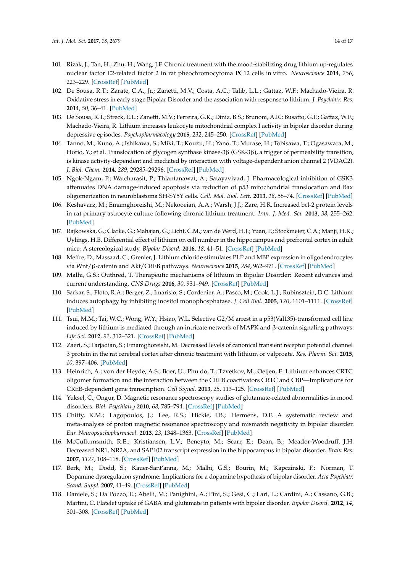- <span id="page-13-0"></span>101. Rizak, J.; Tan, H.; Zhu, H.; Wang, J.F. Chronic treatment with the mood-stabilizing drug lithium up-regulates nuclear factor E2-related factor 2 in rat pheochromocytoma PC12 cells in vitro. *Neuroscience* **2014**, *256*, 223–229. [\[CrossRef\]](http://dx.doi.org/10.1016/j.neuroscience.2013.10.036) [\[PubMed\]](http://www.ncbi.nlm.nih.gov/pubmed/24505606)
- <span id="page-13-1"></span>102. De Sousa, R.T.; Zarate, C.A., Jr.; Zanetti, M.V.; Costa, A.C.; Talib, L.L.; Gattaz, W.F.; Machado-Vieira, R. Oxidative stress in early stage Bipolar Disorder and the association with response to lithium. *J. Psychiatr. Res.* **2014**, *50*, 36–41. [\[PubMed\]](http://www.ncbi.nlm.nih.gov/pubmed/24332923)
- <span id="page-13-2"></span>103. De Sousa, R.T.; Streck, E.L.; Zanetti, M.V.; Ferreira, G.K.; Diniz, B.S.; Brunoni, A.R.; Busatto, G.F.; Gattaz, W.F.; Machado-Vieira, R. Lithium increases leukocyte mitochondrial complex I activity in bipolar disorder during depressive episodes. *Psychopharmacology* **2015**, *232*, 245–250. [\[CrossRef\]](http://dx.doi.org/10.1007/s00213-014-3655-6) [\[PubMed\]](http://www.ncbi.nlm.nih.gov/pubmed/24961563)
- <span id="page-13-3"></span>104. Tanno, M.; Kuno, A.; Ishikawa, S.; Miki, T.; Kouzu, H.; Yano, T.; Murase, H.; Tobisawa, T.; Ogasawara, M.; Horio, Y.; et al. Translocation of glycogen synthase kinase-3β (GSK-3β), a trigger of permeability transition, is kinase activity-dependent and mediated by interaction with voltage-dependent anion channel 2 (VDAC2). *J. Biol. Chem.* **2014**, *289*, 29285–29296. [\[CrossRef\]](http://dx.doi.org/10.1074/jbc.M114.563924) [\[PubMed\]](http://www.ncbi.nlm.nih.gov/pubmed/25187518)
- <span id="page-13-4"></span>105. Ngok-Ngam, P.; Watcharasit, P.; Thiantanawat, A.; Satayavivad, J. Pharmacological inhibition of GSK3 attenuates DNA damage-induced apoptosis via reduction of p53 mitochondrial translocation and Bax oligomerization in neuroblastoma SH-SY5Y cells. *Cell. Mol. Biol. Lett.* **2013**, *18*, 58–74. [\[CrossRef\]](http://dx.doi.org/10.2478/s11658-012-0039-y) [\[PubMed\]](http://www.ncbi.nlm.nih.gov/pubmed/23161404)
- <span id="page-13-5"></span>106. Keshavarz, M.; Emamghoreishi, M.; Nekooeian, A.A.; Warsh, J.J.; Zare, H.R. Increased bcl-2 protein levels in rat primary astrocyte culture following chronic lithium treatment. *Iran. J. Med. Sci.* **2013**, *38*, 255–262. [\[PubMed\]](http://www.ncbi.nlm.nih.gov/pubmed/24174697)
- <span id="page-13-6"></span>107. Rajkowska, G.; Clarke, G.; Mahajan, G.; Licht, C.M.; van de Werd, H.J.; Yuan, P.; Stockmeier, C.A.; Manji, H.K.; Uylings, H.B. Differential effect of lithium on cell number in the hippocampus and prefrontal cortex in adult mice: A stereological study. *Bipolar Disord.* **2016**, *18*, 41–51. [\[CrossRef\]](http://dx.doi.org/10.1111/bdi.12364) [\[PubMed\]](http://www.ncbi.nlm.nih.gov/pubmed/26842627)
- <span id="page-13-7"></span>108. Meffre, D.; Massaad, C.; Grenier, J. Lithium chloride stimulates PLP and MBP expression in oligodendrocytes via Wnt/β-catenin and Akt/CREB pathways. *Neuroscience* **2015**, *284*, 962–971. [\[CrossRef\]](http://dx.doi.org/10.1016/j.neuroscience.2014.10.064) [\[PubMed\]](http://www.ncbi.nlm.nih.gov/pubmed/25451297)
- <span id="page-13-8"></span>109. Malhi, G.S.; Outhred, T. Therapeutic mechanisms of lithium in Bipolar Disorder: Recent advances and current understanding. *CNS Drugs* **2016**, *30*, 931–949. [\[CrossRef\]](http://dx.doi.org/10.1007/s40263-016-0380-1) [\[PubMed\]](http://www.ncbi.nlm.nih.gov/pubmed/27638546)
- <span id="page-13-9"></span>110. Sarkar, S.; Floto, R.A.; Berger, Z.; Imarisio, S.; Cordenier, A.; Pasco, M.; Cook, L.J.; Rubinsztein, D.C. Lithium induces autophagy by inhibiting inositol monophosphatase. *J. Cell Biol.* **2005**, *170*, 1101–1111. [\[CrossRef\]](http://dx.doi.org/10.1083/jcb.200504035) [\[PubMed\]](http://www.ncbi.nlm.nih.gov/pubmed/16186256)
- <span id="page-13-10"></span>111. Tsui, M.M.; Tai, W.C.; Wong, W.Y.; Hsiao, W.L. Selective G2/M arrest in a p53(Val135)-transformed cell line induced by lithium is mediated through an intricate network of MAPK and β-catenin signaling pathways. *Life Sci.* **2012**, *91*, 312–321. [\[CrossRef\]](http://dx.doi.org/10.1016/j.lfs.2012.07.027) [\[PubMed\]](http://www.ncbi.nlm.nih.gov/pubmed/22884810)
- <span id="page-13-11"></span>112. Zaeri, S.; Farjadian, S.; Emamghoreishi, M. Decreased levels of canonical transient receptor potential channel 3 protein in the rat cerebral cortex after chronic treatment with lithium or valproate. *Res. Pharm. Sci.* **2015**, *10*, 397–406. [\[PubMed\]](http://www.ncbi.nlm.nih.gov/pubmed/26752988)
- <span id="page-13-12"></span>113. Heinrich, A.; von der Heyde, A.S.; Boer, U.; Phu do, T.; Tzvetkov, M.; Oetjen, E. Lithium enhances CRTC oligomer formation and the interaction between the CREB coactivators CRTC and CBP—Implications for CREB-dependent gene transcription. *Cell Signal.* **2013**, *25*, 113–125. [\[CrossRef\]](http://dx.doi.org/10.1016/j.cellsig.2012.09.016) [\[PubMed\]](http://www.ncbi.nlm.nih.gov/pubmed/23000340)
- <span id="page-13-13"></span>114. Yuksel, C.; Ongur, D. Magnetic resonance spectroscopy studies of glutamate-related abnormalities in mood disorders. *Biol. Psychiatry* **2010**, *68*, 785–794. [\[CrossRef\]](http://dx.doi.org/10.1016/j.biopsych.2010.06.016) [\[PubMed\]](http://www.ncbi.nlm.nih.gov/pubmed/20728076)
- <span id="page-13-14"></span>115. Chitty, K.M.; Lagopoulos, J.; Lee, R.S.; Hickie, I.B.; Hermens, D.F. A systematic review and meta-analysis of proton magnetic resonance spectroscopy and mismatch negativity in bipolar disorder. *Eur. Neuropsychopharmacol.* **2013**, *23*, 1348–1363. [\[CrossRef\]](http://dx.doi.org/10.1016/j.euroneuro.2013.07.007) [\[PubMed\]](http://www.ncbi.nlm.nih.gov/pubmed/23968965)
- <span id="page-13-15"></span>116. McCullumsmith, R.E.; Kristiansen, L.V.; Beneyto, M.; Scarr, E.; Dean, B.; Meador-Woodruff, J.H. Decreased NR1, NR2A, and SAP102 transcript expression in the hippocampus in bipolar disorder. *Brain Res.* **2007**, *1127*, 108–118. [\[CrossRef\]](http://dx.doi.org/10.1016/j.brainres.2006.09.011) [\[PubMed\]](http://www.ncbi.nlm.nih.gov/pubmed/17113057)
- <span id="page-13-16"></span>117. Berk, M.; Dodd, S.; Kauer-Sant'anna, M.; Malhi, G.S.; Bourin, M.; Kapczinski, F.; Norman, T. Dopamine dysregulation syndrome: Implications for a dopamine hypothesis of bipolar disorder. *Acta Psychiatr. Scand. Suppl.* **2007**, 41–49. [\[CrossRef\]](http://dx.doi.org/10.1111/j.1600-0447.2007.01058.x) [\[PubMed\]](http://www.ncbi.nlm.nih.gov/pubmed/17688462)
- <span id="page-13-17"></span>118. Daniele, S.; Da Pozzo, E.; Abelli, M.; Panighini, A.; Pini, S.; Gesi, C.; Lari, L.; Cardini, A.; Cassano, G.B.; Martini, C. Platelet uptake of GABA and glutamate in patients with bipolar disorder. *Bipolar Disord.* **2012**, *14*, 301–308. [\[CrossRef\]](http://dx.doi.org/10.1111/j.1399-5618.2012.01005.x) [\[PubMed\]](http://www.ncbi.nlm.nih.gov/pubmed/22548903)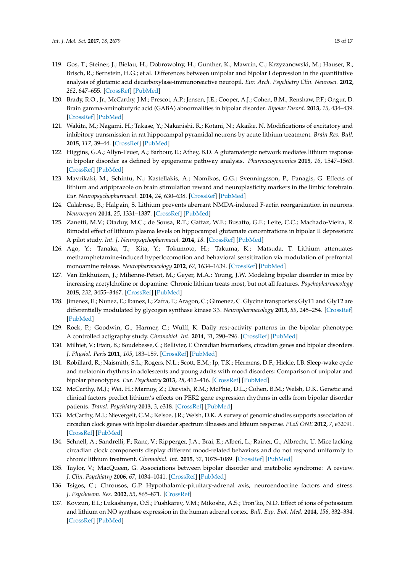- <span id="page-14-0"></span>119. Gos, T.; Steiner, J.; Bielau, H.; Dobrowolny, H.; Gunther, K.; Mawrin, C.; Krzyzanowski, M.; Hauser, R.; Brisch, R.; Bernstein, H.G.; et al. Differences between unipolar and bipolar I depression in the quantitative analysis of glutamic acid decarboxylase-immunoreactive neuropil. *Eur. Arch. Psychiatry Clin. Neurosci.* **2012**, *262*, 647–655. [\[CrossRef\]](http://dx.doi.org/10.1007/s00406-012-0315-x) [\[PubMed\]](http://www.ncbi.nlm.nih.gov/pubmed/22526728)
- <span id="page-14-1"></span>120. Brady, R.O., Jr.; McCarthy, J.M.; Prescot, A.P.; Jensen, J.E.; Cooper, A.J.; Cohen, B.M.; Renshaw, P.F.; Ongur, D. Brain gamma-aminobutyric acid (GABA) abnormalities in bipolar disorder. *Bipolar Disord.* **2013**, *15*, 434–439. [\[CrossRef\]](http://dx.doi.org/10.1111/bdi.12074) [\[PubMed\]](http://www.ncbi.nlm.nih.gov/pubmed/23634979)
- <span id="page-14-2"></span>121. Wakita, M.; Nagami, H.; Takase, Y.; Nakanishi, R.; Kotani, N.; Akaike, N. Modifications of excitatory and inhibitory transmission in rat hippocampal pyramidal neurons by acute lithium treatment. *Brain Res. Bull.* **2015**, *117*, 39–44. [\[CrossRef\]](http://dx.doi.org/10.1016/j.brainresbull.2015.07.009) [\[PubMed\]](http://www.ncbi.nlm.nih.gov/pubmed/26247839)
- <span id="page-14-3"></span>122. Higgins, G.A.; Allyn-Feuer, A.; Barbour, E.; Athey, B.D. A glutamatergic network mediates lithium response in bipolar disorder as defined by epigenome pathway analysis. *Pharmacogenomics* **2015**, *16*, 1547–1563. [\[CrossRef\]](http://dx.doi.org/10.2217/pgs.15.106) [\[PubMed\]](http://www.ncbi.nlm.nih.gov/pubmed/26343379)
- <span id="page-14-4"></span>123. Mavrikaki, M.; Schintu, N.; Kastellakis, A.; Nomikos, G.G.; Svenningsson, P.; Panagis, G. Effects of lithium and aripiprazole on brain stimulation reward and neuroplasticity markers in the limbic forebrain. *Eur. Neuropsychopharmacol.* **2014**, *24*, 630–638. [\[CrossRef\]](http://dx.doi.org/10.1016/j.euroneuro.2013.10.014) [\[PubMed\]](http://www.ncbi.nlm.nih.gov/pubmed/24275700)
- <span id="page-14-5"></span>124. Calabrese, B.; Halpain, S. Lithium prevents aberrant NMDA-induced F-actin reorganization in neurons. *Neuroreport* **2014**, *25*, 1331–1337. [\[CrossRef\]](http://dx.doi.org/10.1097/WNR.0000000000000268) [\[PubMed\]](http://www.ncbi.nlm.nih.gov/pubmed/25304495)
- <span id="page-14-6"></span>125. Zanetti, M.V.; Otaduy, M.C.; de Sousa, R.T.; Gattaz, W.F.; Busatto, G.F.; Leite, C.C.; Machado-Vieira, R. Bimodal effect of lithium plasma levels on hippocampal glutamate concentrations in bipolar II depression: A pilot study. *Int. J. Neuropsychopharmacol.* **2014**, *18*. [\[CrossRef\]](http://dx.doi.org/10.1093/ijnp/pyu058) [\[PubMed\]](http://www.ncbi.nlm.nih.gov/pubmed/25522399)
- <span id="page-14-7"></span>126. Ago, Y.; Tanaka, T.; Kita, Y.; Tokumoto, H.; Takuma, K.; Matsuda, T. Lithium attenuates methamphetamine-induced hyperlocomotion and behavioral sensitization via modulation of prefrontal monoamine release. *Neuropharmacology* **2012**, *62*, 1634–1639. [\[CrossRef\]](http://dx.doi.org/10.1016/j.neuropharm.2011.10.004) [\[PubMed\]](http://www.ncbi.nlm.nih.gov/pubmed/22001792)
- <span id="page-14-8"></span>127. Van Enkhuizen, J.; Milienne-Petiot, M.; Geyer, M.A.; Young, J.W. Modeling bipolar disorder in mice by increasing acetylcholine or dopamine: Chronic lithium treats most, but not all features. *Psychopharmacology* **2015**, *232*, 3455–3467. [\[CrossRef\]](http://dx.doi.org/10.1007/s00213-015-4000-4) [\[PubMed\]](http://www.ncbi.nlm.nih.gov/pubmed/26141192)
- <span id="page-14-9"></span>128. Jimenez, E.; Nunez, E.; Ibanez, I.; Zafra, F.; Aragon, C.; Gimenez, C. Glycine transporters GlyT1 and GlyT2 are differentially modulated by glycogen synthase kinase 3β. *Neuropharmacology* **2015**, *89*, 245–254. [\[CrossRef\]](http://dx.doi.org/10.1016/j.neuropharm.2014.09.023) [\[PubMed\]](http://www.ncbi.nlm.nih.gov/pubmed/25301276)
- <span id="page-14-10"></span>129. Rock, P.; Goodwin, G.; Harmer, C.; Wulff, K. Daily rest-activity patterns in the bipolar phenotype: A controlled actigraphy study. *Chronobiol. Int.* **2014**, *31*, 290–296. [\[CrossRef\]](http://dx.doi.org/10.3109/07420528.2013.843542) [\[PubMed\]](http://www.ncbi.nlm.nih.gov/pubmed/24517177)
- <span id="page-14-11"></span>130. Milhiet, V.; Etain, B.; Boudebesse, C.; Bellivier, F. Circadian biomarkers, circadian genes and bipolar disorders. *J. Physiol. Paris* **2011**, *105*, 183–189. [\[CrossRef\]](http://dx.doi.org/10.1016/j.jphysparis.2011.07.002) [\[PubMed\]](http://www.ncbi.nlm.nih.gov/pubmed/21767641)
- <span id="page-14-12"></span>131. Robillard, R.; Naismith, S.L.; Rogers, N.L.; Scott, E.M.; Ip, T.K.; Hermens, D.F.; Hickie, I.B. Sleep-wake cycle and melatonin rhythms in adolescents and young adults with mood disorders: Comparison of unipolar and bipolar phenotypes. *Eur. Psychiatry* **2013**, *28*, 412–416. [\[CrossRef\]](http://dx.doi.org/10.1016/j.eurpsy.2013.04.001) [\[PubMed\]](http://www.ncbi.nlm.nih.gov/pubmed/23769680)
- <span id="page-14-13"></span>132. McCarthy, M.J.; Wei, H.; Marnoy, Z.; Darvish, R.M.; McPhie, D.L.; Cohen, B.M.; Welsh, D.K. Genetic and clinical factors predict lithium's effects on PER2 gene expression rhythms in cells from bipolar disorder patients. *Transl. Psychiatry* **2013**, *3*, e318. [\[CrossRef\]](http://dx.doi.org/10.1038/tp.2013.90) [\[PubMed\]](http://www.ncbi.nlm.nih.gov/pubmed/24150227)
- <span id="page-14-14"></span>133. McCarthy, M.J.; Nievergelt, C.M.; Kelsoe, J.R.; Welsh, D.K. A survey of genomic studies supports association of circadian clock genes with bipolar disorder spectrum illnesses and lithium response. *PLoS ONE* **2012**, *7*, e32091. [\[CrossRef\]](http://dx.doi.org/10.1371/journal.pone.0032091) [\[PubMed\]](http://www.ncbi.nlm.nih.gov/pubmed/22384149)
- <span id="page-14-15"></span>134. Schnell, A.; Sandrelli, F.; Ranc, V.; Ripperger, J.A.; Brai, E.; Alberi, L.; Rainer, G.; Albrecht, U. Mice lacking circadian clock components display different mood-related behaviors and do not respond uniformly to chronic lithium treatment. *Chronobiol. Int.* **2015**, *32*, 1075–1089. [\[CrossRef\]](http://dx.doi.org/10.3109/07420528.2015.1062024) [\[PubMed\]](http://www.ncbi.nlm.nih.gov/pubmed/26317159)
- <span id="page-14-16"></span>135. Taylor, V.; MacQueen, G. Associations between bipolar disorder and metabolic syndrome: A review. *J. Clin. Psychiatry* **2006**, *67*, 1034–1041. [\[CrossRef\]](http://dx.doi.org/10.4088/JCP.v67n0704) [\[PubMed\]](http://www.ncbi.nlm.nih.gov/pubmed/16889445)
- <span id="page-14-17"></span>136. Tsigos, C.; Chrousos, G.P. Hypothalamic-pituitary-adrenal axis, neuroendocrine factors and stress. *J. Psychosom. Res.* **2002**, *53*, 865–871. [\[CrossRef\]](http://dx.doi.org/10.1016/S0022-3999(02)00429-4)
- <span id="page-14-18"></span>137. Kovzun, E.I.; Lukashenya, O.S.; Pushkarev, V.M.; Mikosha, A.S.; Tron'ko, N.D. Effect of ions of potassium and lithium on NO synthase expression in the human adrenal cortex. *Bull. Exp. Biol. Med.* **2014**, *156*, 332–334. [\[CrossRef\]](http://dx.doi.org/10.1007/s10517-014-2342-2) [\[PubMed\]](http://www.ncbi.nlm.nih.gov/pubmed/24771369)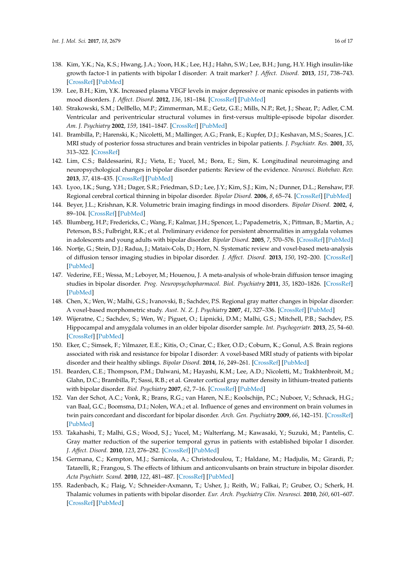- <span id="page-15-0"></span>138. Kim, Y.K.; Na, K.S.; Hwang, J.A.; Yoon, H.K.; Lee, H.J.; Hahn, S.W.; Lee, B.H.; Jung, H.Y. High insulin-like growth factor-1 in patients with bipolar I disorder: A trait marker? *J. Affect. Disord.* **2013**, *151*, 738–743. [\[CrossRef\]](http://dx.doi.org/10.1016/j.jad.2013.07.041) [\[PubMed\]](http://www.ncbi.nlm.nih.gov/pubmed/24012102)
- <span id="page-15-1"></span>139. Lee, B.H.; Kim, Y.K. Increased plasma VEGF levels in major depressive or manic episodes in patients with mood disorders. *J. Affect. Disord.* **2012**, *136*, 181–184. [\[CrossRef\]](http://dx.doi.org/10.1016/j.jad.2011.07.021) [\[PubMed\]](http://www.ncbi.nlm.nih.gov/pubmed/21862441)
- <span id="page-15-2"></span>140. Strakowski, S.M.; DelBello, M.P.; Zimmerman, M.E.; Getz, G.E.; Mills, N.P.; Ret, J.; Shear, P.; Adler, C.M. Ventricular and periventricular structural volumes in first-versus multiple-episode bipolar disorder. *Am. J. Psychiatry* **2002**, *159*, 1841–1847. [\[CrossRef\]](http://dx.doi.org/10.1176/appi.ajp.159.11.1841) [\[PubMed\]](http://www.ncbi.nlm.nih.gov/pubmed/12411217)
- <span id="page-15-3"></span>141. Brambilla, P.; Harenski, K.; Nicoletti, M.; Mallinger, A.G.; Frank, E.; Kupfer, D.J.; Keshavan, M.S.; Soares, J.C. MRI study of posterior fossa structures and brain ventricles in bipolar patients. *J. Psychiatr. Res.* **2001**, *35*, 313–322. [\[CrossRef\]](http://dx.doi.org/10.1016/S0022-3956(01)00036-X)
- <span id="page-15-4"></span>142. Lim, C.S.; Baldessarini, R.J.; Vieta, E.; Yucel, M.; Bora, E.; Sim, K. Longitudinal neuroimaging and neuropsychological changes in bipolar disorder patients: Review of the evidence. *Neurosci. Biobehav. Rev.* **2013**, *37*, 418–435. [\[CrossRef\]](http://dx.doi.org/10.1016/j.neubiorev.2013.01.003) [\[PubMed\]](http://www.ncbi.nlm.nih.gov/pubmed/23318228)
- <span id="page-15-5"></span>143. Lyoo, I.K.; Sung, Y.H.; Dager, S.R.; Friedman, S.D.; Lee, J.Y.; Kim, S.J.; Kim, N.; Dunner, D.L.; Renshaw, P.F. Regional cerebral cortical thinning in bipolar disorder. *Bipolar Disord.* **2006**, *8*, 65–74. [\[CrossRef\]](http://dx.doi.org/10.1111/j.1399-5618.2006.00284.x) [\[PubMed\]](http://www.ncbi.nlm.nih.gov/pubmed/16411982)
- <span id="page-15-6"></span>144. Beyer, J.L.; Krishnan, K.R. Volumetric brain imaging findings in mood disorders. *Bipolar Disord.* **2002**, *4*, 89–104. [\[CrossRef\]](http://dx.doi.org/10.1034/j.1399-5618.2002.01157.x) [\[PubMed\]](http://www.ncbi.nlm.nih.gov/pubmed/12071514)
- <span id="page-15-7"></span>145. Blumberg, H.P.; Fredericks, C.; Wang, F.; Kalmar, J.H.; Spencer, L.; Papademetris, X.; Pittman, B.; Martin, A.; Peterson, B.S.; Fulbright, R.K.; et al. Preliminary evidence for persistent abnormalities in amygdala volumes in adolescents and young adults with bipolar disorder. *Bipolar Disord.* **2005**, *7*, 570–576. [\[CrossRef\]](http://dx.doi.org/10.1111/j.1399-5618.2005.00264.x) [\[PubMed\]](http://www.ncbi.nlm.nih.gov/pubmed/16403182)
- <span id="page-15-8"></span>146. Nortje, G.; Stein, D.J.; Radua, J.; Mataix-Cols, D.; Horn, N. Systematic review and voxel-based meta-analysis of diffusion tensor imaging studies in bipolar disorder. *J. Affect. Disord.* **2013**, *150*, 192–200. [\[CrossRef\]](http://dx.doi.org/10.1016/j.jad.2013.05.034) [\[PubMed\]](http://www.ncbi.nlm.nih.gov/pubmed/23810479)
- <span id="page-15-9"></span>147. Vederine, F.E.; Wessa, M.; Leboyer, M.; Houenou, J. A meta-analysis of whole-brain diffusion tensor imaging studies in bipolar disorder. *Prog. Neuropsychopharmacol. Biol. Psychiatry* **2011**, *35*, 1820–1826. [\[CrossRef\]](http://dx.doi.org/10.1016/j.pnpbp.2011.05.009) [\[PubMed\]](http://www.ncbi.nlm.nih.gov/pubmed/21624424)
- <span id="page-15-10"></span>148. Chen, X.; Wen, W.; Malhi, G.S.; Ivanovski, B.; Sachdev, P.S. Regional gray matter changes in bipolar disorder: A voxel-based morphometric study. *Aust. N. Z. J. Psychiatry* **2007**, *41*, 327–336. [\[CrossRef\]](http://dx.doi.org/10.1080/00048670701213229) [\[PubMed\]](http://www.ncbi.nlm.nih.gov/pubmed/17464719)
- 149. Wijeratne, C.; Sachdev, S.; Wen, W.; Piguet, O.; Lipnicki, D.M.; Malhi, G.S.; Mitchell, P.B.; Sachdev, P.S. Hippocampal and amygdala volumes in an older bipolar disorder sample. *Int. Psychogeriatr.* **2013**, *25*, 54–60. [\[CrossRef\]](http://dx.doi.org/10.1017/S1041610212001469) [\[PubMed\]](http://www.ncbi.nlm.nih.gov/pubmed/22929183)
- <span id="page-15-11"></span>150. Eker, C.; Simsek, F.; Yilmazer, E.E.; Kitis, O.; Cinar, C.; Eker, O.D.; Coburn, K.; Gonul, A.S. Brain regions associated with risk and resistance for bipolar I disorder: A voxel-based MRI study of patients with bipolar disorder and their healthy siblings. *Bipolar Disord.* **2014**, *16*, 249–261. [\[CrossRef\]](http://dx.doi.org/10.1111/bdi.12181) [\[PubMed\]](http://www.ncbi.nlm.nih.gov/pubmed/24589068)
- <span id="page-15-12"></span>151. Bearden, C.E.; Thompson, P.M.; Dalwani, M.; Hayashi, K.M.; Lee, A.D.; Nicoletti, M.; Trakhtenbroit, M.; Glahn, D.C.; Brambilla, P.; Sassi, R.B.; et al. Greater cortical gray matter density in lithium-treated patients with bipolar disorder. *Biol. Psychiatry* **2007**, *62*, 7–16. [\[CrossRef\]](http://dx.doi.org/10.1016/j.biopsych.2006.10.027) [\[PubMed\]](http://www.ncbi.nlm.nih.gov/pubmed/17240360)
- <span id="page-15-13"></span>152. Van der Schot, A.C.; Vonk, R.; Brans, R.G.; van Haren, N.E.; Koolschijn, P.C.; Nuboer, V.; Schnack, H.G.; van Baal, G.C.; Boomsma, D.I.; Nolen, W.A.; et al. Influence of genes and environment on brain volumes in twin pairs concordant and discordant for bipolar disorder. *Arch. Gen. Psychiatry* **2009**, *66*, 142–151. [\[CrossRef\]](http://dx.doi.org/10.1001/archgenpsychiatry.2008.541) [\[PubMed\]](http://www.ncbi.nlm.nih.gov/pubmed/19188536)
- <span id="page-15-14"></span>153. Takahashi, T.; Malhi, G.S.; Wood, S.J.; Yucel, M.; Walterfang, M.; Kawasaki, Y.; Suzuki, M.; Pantelis, C. Gray matter reduction of the superior temporal gyrus in patients with established bipolar I disorder. *J. Affect. Disord.* **2010**, *123*, 276–282. [\[CrossRef\]](http://dx.doi.org/10.1016/j.jad.2009.08.022) [\[PubMed\]](http://www.ncbi.nlm.nih.gov/pubmed/19766321)
- <span id="page-15-15"></span>154. Germana, C.; Kempton, M.J.; Sarnicola, A.; Christodoulou, T.; Haldane, M.; Hadjulis, M.; Girardi, P.; Tatarelli, R.; Frangou, S. The effects of lithium and anticonvulsants on brain structure in bipolar disorder. *Acta Psychiatr. Scand.* **2010**, *122*, 481–487. [\[CrossRef\]](http://dx.doi.org/10.1111/j.1600-0447.2010.01582.x) [\[PubMed\]](http://www.ncbi.nlm.nih.gov/pubmed/20560901)
- <span id="page-15-16"></span>155. Radenbach, K.; Flaig, V.; Schneider-Axmann, T.; Usher, J.; Reith, W.; Falkai, P.; Gruber, O.; Scherk, H. Thalamic volumes in patients with bipolar disorder. *Eur. Arch. Psychiatry Clin. Neurosci.* **2010**, *260*, 601–607. [\[CrossRef\]](http://dx.doi.org/10.1007/s00406-010-0100-7) [\[PubMed\]](http://www.ncbi.nlm.nih.gov/pubmed/20127489)